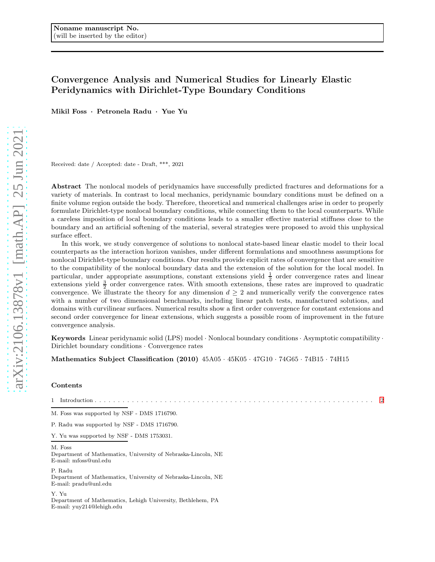# Convergence Analysis and Numerical Studies for Linearly Elastic Peridynamics with Dirichlet-Type Boundary Conditions

Mikil Foss · Petronela Radu · Yue Yu

Received: date / Accepted: date - Draft, \*\*\*, 2021

Abstract The nonlocal models of peridynamics have successfully predicted fractures and deformations for a variety of materials. In contrast to local mechanics, peridynamic boundary conditions must be defined on a finite volume region outside the body. Therefore, theoretical and numerical challenges arise in order to properly formulate Dirichlet-type nonlocal boundary conditions, while connecting them to the local counterparts. While a careless imposition of local boundary conditions leads to a smaller effective material stiffness close to the boundary and an artificial softening of the material, several strategies were proposed to avoid this unphysical surface effect.

In this work, we study convergence of solutions to nonlocal state-based linear elastic model to their local counterparts as the interaction horizon vanishes, under different formulations and smoothness assumptions for nonlocal Dirichlet-type boundary conditions. Our results provide explicit rates of convergence that are sensitive to the compatibility of the nonlocal boundary data and the extension of the solution for the local model. In particular, under appropriate assumptions, constant extensions yield  $\frac{1}{2}$  order convergence rates and linear particular, under appropriate assumptions, constant extensions yield  $\frac{3}{2}$  order convergence rates are improved to quadratic extensions yield  $\frac{3}{2}$  order convergence rates. With smooth extensions, these rates are convergence. We illustrate the theory for any dimension  $d \geq 2$  and numerically verify the convergence rates with a number of two dimensional benchmarks, including linear patch tests, manufactured solutions, and domains with curvilinear surfaces. Numerical results show a first order convergence for constant extensions and second order convergence for linear extensions, which suggests a possible room of improvement in the future convergence analysis.

Keywords Linear peridynamic solid (LPS) model · Nonlocal boundary conditions · Asymptotic compatibility · Dirichlet boundary conditions · Convergence rates

Mathematics Subject Classification (2010) 45A05 · 45K05 · 47G10 · 74G65 · 74B15 · 74H15

## Contents

1 Introduction . . . . . . . . . . . . . . . . . . . . . . . . . . . . . . . . . . . . . . . . . . . . . . . . . . . . . . . . . . . . [2](#page-1-0)

M. Foss was supported by NSF - DMS 1716790.

P. Radu was supported by NSF - DMS 1716790.

Y. Yu was supported by NSF - DMS 1753031.

#### M. Foss

Department of Mathematics, University of Nebraska-Lincoln, NE E-mail: mfoss@unl.edu

P. Radu Department of Mathematics, University of Nebraska-Lincoln, NE E-mail: pradu@unl.edu

Y. Yu Department of Mathematics, Lehigh University, Bethlehem, PA E-mail: yuy214@lehigh.edu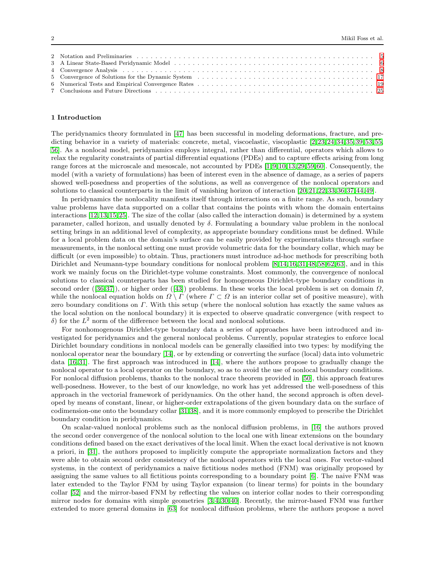# <span id="page-1-0"></span>1 Introduction

The peridynamics theory formulated in [\[47\]](#page-26-0) has been successful in modeling deformations, fracture, and pre-dicting behavior in a variety of materials: concrete, metal, viscoelastic, viscoplastic [\[2,](#page-25-0) [23,](#page-26-1) [24,](#page-26-2) [34,](#page-26-3) [35,](#page-26-4) [39,](#page-26-5) [55,](#page-27-1) 55, [56\]](#page-27-2). As a nonlocal model, peridynamics employs integral, rather than differential, operators which allows to relax the regularity constraints of partial differential equations (PDEs) and to capture effects arising from long range forces at the microscale and mesoscale, not accounted by PDEs [\[1,](#page-25-1) [9,](#page-25-2) [10,](#page-25-3) [13,](#page-25-4) [29,](#page-26-6) [59,](#page-27-3) [60\]](#page-27-4). Consequently, the model (with a variety of formulations) has been of interest even in the absence of damage, as a series of papers showed well-posedness and properties of the solutions, as well as convergence of the nonlocal operators and solutions to classical counterparts in the limit of vanishing horizon of interaction [\[20,](#page-26-7) [21,](#page-26-8) [22,](#page-26-9) [33,](#page-26-10) [36,](#page-26-11) [37,](#page-26-12) [44,](#page-26-13) [49\]](#page-26-14).

In peridynamics the nonlocality manifests itself through interactions on a finite range. As such, boundary value problems have data supported on a collar that contains the points with whom the domain entertains interactions [\[12,](#page-25-5) [13,](#page-25-4) [15,](#page-26-15) [25\]](#page-26-16). The size of the collar (also called the interaction domain) is determined by a system parameter, called horizon, and usually denoted by  $\delta$ . Formulating a boundary value problem in the nonlocal setting brings in an additional level of complexity, as appropriate boundary conditions must be defined. While for a local problem data on the domain's surface can be easily provided by experimentalists through surface measurements, in the nonlocal setting one must provide volumetric data for the boundary collar, which may be difficult (or even impossible) to obtain. Thus, practioners must introduce ad-hoc methods for prescribing both Dirichlet and Neumann-type boundary conditions for nonlocal problem [\[8,](#page-25-6) [14,](#page-25-7) [16,](#page-26-17) [31,](#page-26-18) [48,](#page-26-19) [58,](#page-27-5) [62,](#page-27-6) [63\]](#page-27-7), and in this work we mainly focus on the Dirichlet-type volume constraints. Most commonly, the convergence of nonlocal solutions to classical counterparts has been studied for homogeneous Dirichlet-type boundary conditions in second order ([\[36,](#page-26-11)37]), or higher order ([\[43\]](#page-26-20)) problems. In these works the local problem is set on domain  $\Omega$ , while the nonlocal equation holds on  $\Omega \setminus \Gamma$  (where  $\Gamma \subset \Omega$  is an interior collar set of positive measure), with zero boundary conditions on Γ. With this setup (where the nonlocal solution has exactly the same values as the local solution on the nonlocal boundary) it is expected to observe quadratic convergence (with respect to δ) for the  $L^2$  norm of the difference between the local and nonlocal solutions.

For nonhomogenous Dirichlet-type boundary data a series of approaches have been introduced and investigated for peridynamics and the general nonlocal problems. Currently, popular strategies to enforce local Dirichlet boundary conditions in nonlocal models can be generally classified into two types: by modifying the nonlocal operator near the boundary [\[14\]](#page-25-7), or by extending or converting the surface (local) data into volumetric data [\[16,](#page-26-17) [31\]](#page-26-18). The first approach was introduced in [\[14\]](#page-25-7), where the authors propose to gradually change the nonlocal operator to a local operator on the boundary, so as to avoid the use of nonlocal boundary conditions. For nonlocal diffusion problems, thanks to the nonlocal trace theorem provided in [\[50\]](#page-26-21), this approach features well-posedness. However, to the best of our knowledge, no work has yet addressed the well-posedness of this approach in the vectorial framework of peridynamics. On the other hand, the second approach is often developed by means of constant, linear, or higher-order extrapolations of the given boundary data on the surface of codimension-one onto the boundary collar [\[31,](#page-26-18) [38\]](#page-26-22), and it is more commonly employed to prescribe the Dirichlet boundary condition in peridynamics.

On scalar-valued nonlocal problems such as the nonlocal diffusion problems, in [\[16\]](#page-26-17) the authors proved the second order convergence of the nonlocal solution to the local one with linear extensions on the boundary conditions defined based on the exact derivatives of the local limit. When the exact local derivative is not known a priori, in [\[31\]](#page-26-18), the authors proposed to implicitly compute the appropriate normalization factors and they were able to obtain second order consistency of the nonlocal operators with the local ones. For vector-valued systems, in the context of peridynamics a naive fictitious nodes method (FNM) was originally proposed by assigning the same values to all fictitious points corresponding to a boundary point [\[6\]](#page-25-8). The naive FNM was later extended to the Taylor FNM by using Taylor expansion (to linear terms) for points in the boundary collar [\[52\]](#page-27-8) and the mirror-based FNM by reflecting the values on interior collar nodes to their corresponding mirror nodes for domains with simple geometries [\[3,](#page-25-9) [4,](#page-25-10) [30,](#page-26-23) [40\]](#page-26-24). Recently, the mirror-based FNM was further extended to more general domains in [\[63\]](#page-27-7) for nonlocal diffusion problems, where the authors propose a novel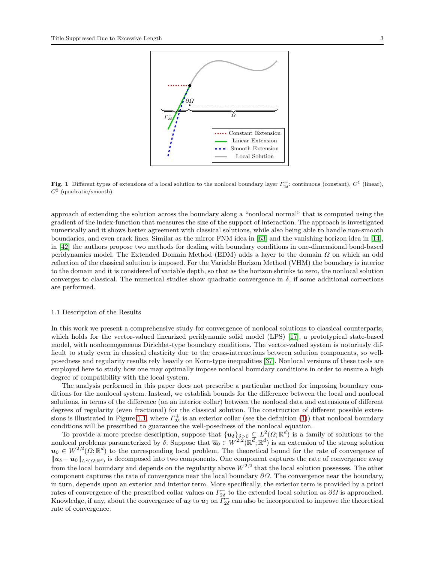



<span id="page-2-1"></span>Fig. 1 Different types of extensions of a local solution to the nonlocal boundary layer  $\Gamma_{2\delta}^+$ : continuous (constant),  $C^1$  (linear),  $C^2$  (quadratic/smooth)

approach of extending the solution across the boundary along a "nonlocal normal" that is computed using the gradient of the index-function that measures the size of the support of interaction. The approach is investigated numerically and it shows better agreement with classical solutions, while also being able to handle non-smooth boundaries, and even crack lines. Similar as the mirror FNM idea in [\[63\]](#page-27-7) and the vanishing horizon idea in [\[14\]](#page-25-7), in [\[42\]](#page-26-25) the authors propose two methods for dealing with boundary conditions in one-dimensional bond-based peridynamics model. The Extended Domain Method (EDM) adds a layer to the domain Ω on which an odd reflection of the classical solution is imposed. For the Variable Horizon Method (VHM) the boundary is interior to the domain and it is considered of variable depth, so that as the horizon shrinks to zero, the nonlocal solution converges to classical. The numerical studies show quadratic convergence in  $\delta$ , if some additional corrections are performed.

## <span id="page-2-0"></span>1.1 Description of the Results

In this work we present a comprehensive study for convergence of nonlocal solutions to classical counterparts, which holds for the vector-valued linearized peridynamic solid model (LPS) [\[17\]](#page-26-26), a prototypical state-based model, with nonhomogeneous Dirichlet-type boundary conditions. The vector-valued system is notoriusly difficult to study even in classical elasticity due to the cross-interactions between solution components, so wellposedness and regularity results rely heavily on Korn-type inequalities [\[37\]](#page-26-12). Nonlocal versions of these tools are employed here to study how one may optimally impose nonlocal boundary conditions in order to ensure a high degree of compatibility with the local system.

The analysis performed in this paper does not prescribe a particular method for imposing boundary conditions for the nonlocal system. Instead, we establish bounds for the difference between the local and nonlocal solutions, in terms of the difference (on an interior collar) between the nonlocal data and extensions of different degrees of regularity (even fractional) for the classical solution. The construction of different possible exten-sions is illustrated in Figure [1.1,](#page-2-0) where  $\Gamma_{2\delta}^+$  is an exterior collar (see the definition [\(1\)](#page-5-1)) that nonlocal boundary conditions will be prescribed to guarantee the well-posedness of the nonlocal equation.

To provide a more precise description, suppose that  $\{u_{\delta}\}_{\delta>0}\subseteq L^2(\Omega;\mathbb{R}^d)$  is a family of solutions to the nonlocal problems parameterized by  $\delta$ . Suppose that  $\overline{u}_0 \in W^{2,2}(\mathbb{R}^d; \mathbb{R}^d)$  is an extension of the strong solution  $u_0 \in W^{2,2}(\Omega;\mathbb{R}^d)$  to the corresponding local problem. The theoretical bound for the rate of convergence of  $\|u_\delta - u_0\|_{L^2(\Omega;\mathbb{R}^d)}$  is decomposed into two components. One component captures the rate of convergence away from the local boundary and depends on the regularity above  $W^{2,2}$  that the local solution possesses. The other component captures the rate of convergence near the local boundary  $\partial\Omega$ . The convergence near the boundary, in turn, depends upon an exterior and interior term. More specifically, the exterior term is provided by a priori rates of convergence of the prescribed collar values on  $\Gamma_{2\delta}^+$  to the extended local solution as  $\partial\Omega$  is approached. Knowledge, if any, about the convergence of  $u_\delta$  to  $u_0$  on  $\tilde{\Gamma}_{2\delta}^-$  can also be incorporated to improve the theoretical rate of convergence.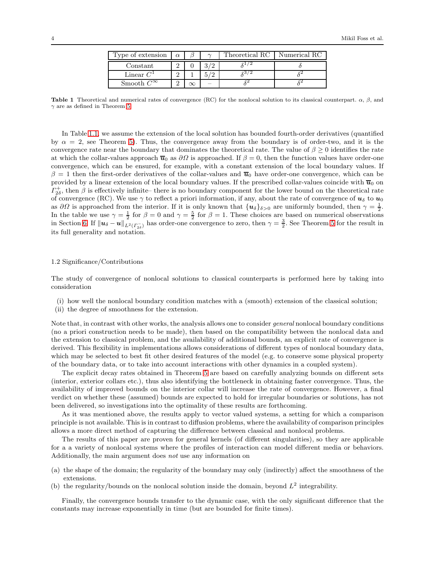| Type of extension   | $\alpha$ | $\sim$ | Theoretical RC | Numerical RC |
|---------------------|----------|--------|----------------|--------------|
| Constant            |          |        |                |              |
| Linear $C^1$        |          |        |                |              |
| Smooth $C^{\infty}$ |          |        |                |              |

Table 1 Theoretical and numerical rates of convergence (RC) for the nonlocal solution to its classical counterpart.  $\alpha$ ,  $\beta$ , and  $\gamma$  are as defined in Theorem [5.](#page-13-0)

In Table [1.1,](#page-2-1) we assume the extension of the local solution has bounded fourth-order derivatives (quantified by  $\alpha = 2$ , see Theorem [5\)](#page-13-0). Thus, the convergence away from the boundary is of order-two, and it is the convergence rate near the boundary that dominates the theoretical rate. The value of  $\beta \geq 0$  identifies the rate at which the collar-values approach  $\overline{u}_0$  as  $\partial\Omega$  is approached. If  $\beta = 0$ , then the function values have order-one convergence, which can be ensured, for example, with a constant extension of the local boundary values. If  $\beta = 1$  then the first-order derivatives of the collar-values and  $\bar{u}_0$  have order-one convergence, which can be provided by a linear extension of the local boundary values. If the prescribed collar-values coincide with  $\overline{u}_0$  on  $\Gamma_{2\delta}^+$ , then  $\beta$  is effectively infinite– there is no boundary component for the lower bound on the theoretical rate of convergence (RC). We use  $\gamma$  to reflect a priori information, if any, about the rate of convergence of  $u_{\delta}$  to  $u_0$ as  $\partial\Omega$  is approached from the interior. If it is only known that  $\{u_{\delta}\}_{\delta>0}$  are uniformly bounded, then  $\gamma=\frac{1}{2}$ . In the table we use  $\gamma = \frac{1}{2}$  for  $\beta = 0$  and  $\gamma = \frac{5}{2}$  for  $\beta = 1$ . These choices are based on numerical observations in Section [6.](#page-18-0) If  $\|\boldsymbol{u}_{\delta} - \boldsymbol{u}\|_{L^2(\Gamma_{2\delta})}$  has order-one convergence to zero, then  $\gamma = \frac{3}{2}$ . See Theorem [5](#page-13-0) for the result in its full generality and notation.

## 1.2 Significance/Contributions

The study of convergence of nonlocal solutions to classical counterparts is performed here by taking into consideration

- (i) how well the nonlocal boundary condition matches with a (smooth) extension of the classical solution;
- (ii) the degree of smoothness for the extension.

Note that, in contrast with other works, the analysis allows one to consider *general* nonlocal boundary conditions (no a priori construction needs to be made), then based on the compatibility between the nonlocal data and the extension to classical problem, and the availability of additional bounds, an explicit rate of convergence is derived. This flexibility in implementations allows considerations of different types of nonlocal boundary data, which may be selected to best fit other desired features of the model (e.g. to conserve some physical property of the boundary data, or to take into account interactions with other dynamics in a coupled system).

The explicit decay rates obtained in Theorem [5](#page-13-0) are based on carefully analyzing bounds on different sets (interior, exterior collars etc.), thus also identifying the bottleneck in obtaining faster convergence. Thus, the availability of improved bounds on the interior collar will increase the rate of convergence. However, a final verdict on whether these (assumed) bounds are expected to hold for irregular boundaries or solutions, has not been delivered, so investigations into the optimality of these results are forthcoming.

As it was mentioned above, the results apply to vector valued systems, a setting for which a comparison principle is not available. This is in contrast to diffusion problems, where the availability of comparison principles allows a more direct method of capturing the difference between classical and nonlocal problems.

The results of this paper are proven for general kernels (of different singularities), so they are applicable for a a variety of nonlocal systems where the profiles of interaction can model different media or behaviors. Additionally, the main argument does not use any information on

- (a) the shape of the domain; the regularity of the boundary may only (indirectly) affect the smoothness of the extensions.
- (b) the regularity/bounds on the nonlocal solution inside the domain, beyond  $L^2$  integrability.

Finally, the convergence bounds transfer to the dynamic case, with the only significant difference that the constants may increase exponentially in time (but are bounded for finite times).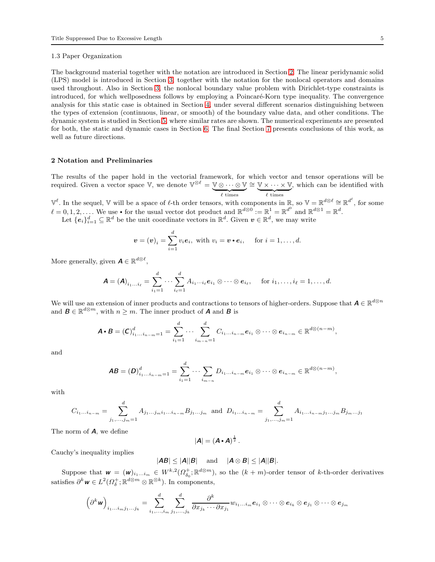## 1.3 Paper Organization

The background material together with the notation are introduced in Section [2.](#page-4-0) The linear peridynamic solid (LPS) model is introduced in Section [3,](#page-5-0) together with the notation for the nonlocal operators and domains used throughout. Also in Section [3,](#page-5-0) the nonlocal boundary value problem with Dirichlet-type constraints is introduced, for which wellposedness follows by employing a Poincaré-Korn type inequality. The convergence analysis for this static case is obtained in Section [4,](#page-7-0) under several different scenarios distinguishing between the types of extension (continuous, linear, or smooth) of the boundary value data, and other conditions. The dynamic system is studied in Section [5,](#page-16-0) where similar rates are shown. The numerical experiments are presented for both, the static and dynamic cases in Section [6.](#page-18-0) The final Section [7](#page-24-0) presents conclusions of this work, as well as future directions.

# <span id="page-4-0"></span>2 Notation and Preliminaries

The results of the paper hold in the vectorial framework, for which vector and tensor operations will be required. Given a vector space  $\mathbb{V}$ , we denote  $\mathbb{V}^{\otimes \ell} = \mathbb{V} \otimes \cdots \otimes \mathbb{V}$  $\ell$  times ∼= V × · · · × V  $\ell$  times , which can be identified with

 $\mathbb{V}^{\ell}$ . In the sequel, V will be a space of  $\ell$ -th order tensors, with components in  $\mathbb{R}$ , so  $\mathbb{V} = \mathbb{R}^{d\otimes \ell} \cong \mathbb{R}^{d^{\ell}}$ , for some  $\ell = 0, 1, 2, \ldots$  We use • for the usual vector dot product and  $\mathbb{R}^{d\otimes 0} := \mathbb{R}^1 = \mathbb{R}^{d^0}$  and  $\mathbb{R}^{d\otimes 1} = \mathbb{R}^d$ . Let  $\{e_i\}_{i=1}^d \subseteq \mathbb{R}^d$  be the unit coordinate vectors in  $\mathbb{R}^d$ . Given  $v \in \mathbb{R}^d$ , we may write

$$
\boldsymbol{v} = (\boldsymbol{v})_i = \sum_{i=1}^d v_i \boldsymbol{e}_i, \text{ with } v_i = \boldsymbol{v} \cdot \boldsymbol{e}_i, \quad \text{ for } i = 1, \ldots, d.
$$

More generally, given  $\boldsymbol{A} \in \mathbb{R}^{d \otimes \ell}$ ,

$$
\mathbf{A} = (\mathbf{A})_{i_1 \dots i_\ell} = \sum_{i_1=1}^d \dots \sum_{i_\ell=1}^d A_{i_1 \dots i_\ell} \mathbf{e}_{i_1} \otimes \dots \otimes \mathbf{e}_{i_\ell}, \quad \text{ for } i_1, \dots, i_\ell = 1, \dots, d.
$$

We will use an extension of inner products and contractions to tensors of higher-orders. Suppose that  $A \in \mathbb{R}^{d\otimes n}$ and  $\mathbf{B} \in \mathbb{R}^{d \otimes m}$ , with  $n \geq m$ . The inner product of **A** and **B** is

$$
\mathbf{A} \cdot \mathbf{B} = (\mathbf{C})_{i_1 \dots i_{n-m}=1}^d = \sum_{i_1=1}^d \dots \sum_{i_{m-n}=1}^d C_{i_1 \dots i_{n-m}} e_{i_1} \otimes \dots \otimes e_{i_{n-m}} \in \mathbb{R}^{d \otimes (n-m)},
$$

and

$$
AB=(D)_{i_1\ldots i_{n-m}=1}^d=\sum_{i_1=1}^d\cdots\sum_{i_{m-n}}D_{i_1\ldots i_{n-m}}e_{i_1}\otimes\cdots\otimes e_{i_{n-m}}\in\mathbb{R}^{d\otimes (n-m)},
$$

with

$$
C_{i_1...i_{n-m}} = \sum_{j_1,...,j_m=1}^d A_{j_1...j_m i_1...i_{n-m}} B_{j_1...j_m} \text{ and } D_{i_1...i_{n-m}} = \sum_{j_1,...,j_m=1}^d A_{i_1...i_{n-m} j_1...j_m} B_{j_m...j_1}
$$

The norm of  $\boldsymbol{A}$ , we define

$$
|\mathbf{A}| = (\mathbf{A} \cdot \mathbf{A})^{\frac{1}{2}}.
$$

Cauchy's inequality implies

$$
|AB| \le |A||B| \quad \text{ and } \quad |A \otimes B| \le |A||B|.
$$

Suppose that  $\mathbf{w} = (\mathbf{w})_{i_1...i_m} \in W^{k,2}(\Omega_{\delta_0}^+;\mathbb{R}^{d\otimes m})$ , so the  $(k+m)$ -order tensor of k-th-order derivatives satisfies  $\partial^k \mathbf{w} \in L^2(\Omega_\delta^+; \mathbb{R}^{d \otimes m} \otimes \mathbb{R}^{\otimes k})$ . In components,

$$
\left(\partial^k \mathbf{w}\right)_{i_1\ldots i_m j_1\ldots j_k} = \sum_{i_1,\ldots,i_m}^d \sum_{j_1,\ldots,j_k}^d \frac{\partial^k}{\partial x_{j_k}\cdots \partial x_{j_1}} w_{i_1\ldots i_m} \mathbf{e}_{i_1} \otimes \cdots \otimes \mathbf{e}_{i_k} \otimes \mathbf{e}_{j_1} \otimes \cdots \otimes \mathbf{e}_{j_m}
$$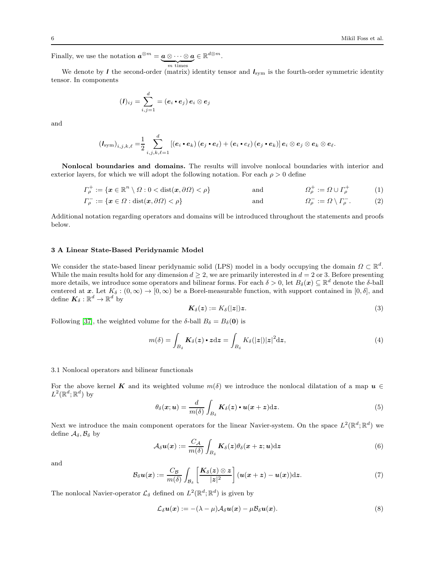Finally, we use the notation  $a^{\otimes m} = a \otimes \cdots \otimes a \in \mathbb{R}^{d \otimes m}$ .  ${m}$  times

We denote by I the second-order (matrix) identity tensor and  $I_{sym}$  is the fourth-order symmetric identity tensor. In components

$$
(I)_{ij} = \sum_{i,j=1}^d = (e_i \bullet e_j) e_i \otimes e_j
$$

and

$$
\left(\bm{\mathit{I}}_{\text{sym}}\right)_{i,j,k,\ell}=\!\frac{1}{2}\sum_{i,j,k,\ell=1}^d\left[\left(\bm{e}_i\bm{\cdot}\bm{e}_k\right)\left(\bm{e}_j\bm{\cdot}\bm{e}_\ell\right)+\left(\bm{e}_i\bm{\cdot}\bm{e}_\ell\right)\left(\bm{e}_j\bm{\cdot}\bm{e}_k\right)\!\right]\bm{e}_i\otimes\bm{e}_j\otimes\bm{e}_k\otimes\bm{e}_\ell.
$$

Nonlocal boundaries and domains. The results will involve nonlocal boundaries with interior and exterior layers, for which we will adopt the following notation. For each  $\rho > 0$  define

$$
\Gamma_{\rho}^{+} := \{ \mathbf{x} \in \mathbb{R}^{n} \setminus \Omega : 0 < \text{dist}(\mathbf{x}, \partial \Omega) < \rho \} \quad \text{and} \quad \Omega_{\rho}^{+} := \Omega \cup \Gamma_{\rho}^{+} \quad (1)
$$

$$
\Gamma_{\rho}^{-} := \{ \mathbf{x} \in \Omega : \text{dist}(\mathbf{x}, \partial \Omega) < \rho \} \quad \text{and} \quad \Omega_{\rho}^{-} := \Omega \setminus \Gamma_{\rho}^{-} \,. \tag{2}
$$

Additional notation regarding operators and domains will be introduced throughout the statements and proofs below.

# <span id="page-5-0"></span>3 A Linear State-Based Peridynamic Model

We consider the state-based linear peridynamic solid (LPS) model in a body occupying the domain  $\Omega \subset \mathbb{R}^d$ . While the main results hold for any dimension  $d \geq 2$ , we are primarily interested in  $d = 2$  or 3. Before presenting more details, we introduce some operators and bilinear forms. For each  $\delta > 0$ , let  $B_\delta(\bm{x}) \subseteq \mathbb{R}^d$  denote the  $\delta$ -ball centered at x. Let  $K_{\delta} : (0,\infty) \to [0,\infty)$  be a Borel-measurable function, with support contained in  $[0,\delta]$ , and define  $\boldsymbol{K}_{\delta} : \mathbb{R}^{d} \to \mathbb{R}^{d}$  by

<span id="page-5-2"></span><span id="page-5-1"></span>
$$
\boldsymbol{K}_{\delta}(\boldsymbol{z}) := K_{\delta}(|\boldsymbol{z}|) \boldsymbol{z}.\tag{3}
$$

Following [\[37\]](#page-26-12), the weighted volume for the  $\delta$ -ball  $B_{\delta} = B_{\delta}(\mathbf{0})$  is

<span id="page-5-3"></span>
$$
m(\delta) = \int_{B_{\delta}} \mathbf{K}_{\delta}(z) \cdot z \, dz = \int_{B_{\delta}} K_{\delta}(|z|) |z|^2 \, dz,
$$
\n<sup>(4)</sup>

# 3.1 Nonlocal operators and bilinear functionals

For the above kernel K and its weighted volume  $m(\delta)$  we introduce the nonlocal dilatation of a map  $u \in$  $L^2(\mathbb{R}^d;\mathbb{R}^d)$  by

$$
\theta_{\delta}(\boldsymbol{x};\boldsymbol{u}) = \frac{d}{m(\delta)} \int_{B_{\delta}} \boldsymbol{K}_{\delta}(\boldsymbol{z}) \cdot \boldsymbol{u}(\boldsymbol{x} + \boldsymbol{z}) \mathrm{d}\boldsymbol{z}.
$$
 (5)

Next we introduce the main component operators for the linear Navier-system. On the space  $L^2(\mathbb{R}^d;\mathbb{R}^d)$  we define  $\mathcal{A}_{\delta}, \mathcal{B}_{\delta}$  by

$$
\mathcal{A}_{\delta}\boldsymbol{u}(\boldsymbol{x}) := \frac{C_{\mathcal{A}}}{m(\delta)} \int_{B_{\delta}} \boldsymbol{K}_{\delta}(\boldsymbol{z}) \theta_{\delta}(\boldsymbol{x} + \boldsymbol{z}; \boldsymbol{u}) \mathrm{d}\boldsymbol{z}
$$
(6)

and

$$
\mathcal{B}_{\delta}u(x):=\frac{C_{\mathcal{B}}}{m(\delta)}\int_{\mathcal{B}_{\delta}}\left[\frac{\boldsymbol{K}_{\delta}(z)\otimes z}{|z|^{2}}\right](u(x+z)-u(x))\mathrm{d}z.\tag{7}
$$

The nonlocal Navier-operator  $\mathcal{L}_{\delta}$  defined on  $L^2(\mathbb{R}^d;\mathbb{R}^d)$  is given by

$$
\mathcal{L}_{\delta}\mathbf{u}(\mathbf{x}) := -(\lambda - \mu)\mathcal{A}_{\delta}\mathbf{u}(\mathbf{x}) - \mu \mathcal{B}_{\delta}\mathbf{u}(\mathbf{x}). \tag{8}
$$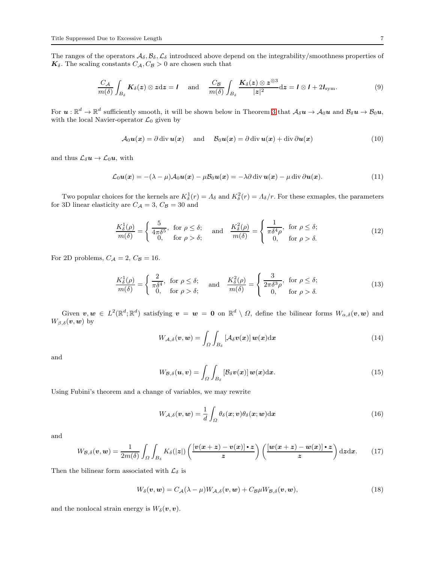The ranges of the operators  $A_\delta$ ,  $B_\delta$ ,  $C_\delta$  introduced above depend on the integrability/smoothness properties of  $K_{\delta}.$  The scaling constants  $C_{\mathcal{A}}, C_{\mathcal{B}} > 0$  are chosen such that

<span id="page-6-0"></span>
$$
\frac{C_A}{m(\delta)} \int_{B_\delta} \mathbf{K}_{\delta}(z) \otimes z \, dz = I \quad \text{and} \quad \frac{C_B}{m(\delta)} \int_{B_\delta} \frac{\mathbf{K}_{\delta}(z) \otimes z^{\otimes 3}}{|z|^2} \, dz = I \otimes I + 2I_{\text{sym}}.
$$

For  $u:\mathbb{R}^d\to\mathbb{R}^d$  sufficiently smooth, it will be shown below in Theorem [3](#page-9-0) that  $\mathcal{A}_\delta u\to\mathcal{A}_0u$  and  $\mathcal{B}_\delta u\to\mathcal{B}_0u$ , with the local Navier-operator  $\mathcal{L}_0$  given by

$$
\mathcal{A}_0 \mathbf{u}(\mathbf{x}) = \partial \operatorname{div} \mathbf{u}(\mathbf{x}) \quad \text{and} \quad \mathcal{B}_0 \mathbf{u}(\mathbf{x}) = \partial \operatorname{div} \mathbf{u}(\mathbf{x}) + \operatorname{div} \partial \mathbf{u}(\mathbf{x}) \tag{10}
$$

and thus  $\mathcal{L}_{\delta} u \to \mathcal{L}_0 u$ , with

$$
\mathcal{L}_0 \mathbf{u}(\mathbf{x}) = -(\lambda - \mu) \mathcal{A}_0 \mathbf{u}(\mathbf{x}) - \mu \mathcal{B}_0 \mathbf{u}(\mathbf{x}) = -\lambda \partial \operatorname{div} \mathbf{u}(\mathbf{x}) - \mu \operatorname{div} \partial \mathbf{u}(\mathbf{x}). \tag{11}
$$

Two popular choices for the kernels are  $K_{\delta}^{1}(r) = \Lambda_{\delta}$  and  $K_{\delta}^{2}(r) = \Lambda_{\delta}/r$ . For these exmaples, the parameters for 3D linear elasticity are  $C_{\mathcal{A}}=3, \, C_{\mathcal{B}}=30$  and

$$
\frac{K_{\delta}^{1}(\rho)}{m(\delta)} = \begin{cases} \frac{5}{4\pi\delta^{5}}, & \text{for } \rho \leq \delta; \\ 0, & \text{for } \rho > \delta; \end{cases} \quad \text{and} \quad \frac{K_{\delta}^{2}(\rho)}{m(\delta)} = \begin{cases} \frac{1}{\pi\delta^{4}\rho}, & \text{for } \rho \leq \delta; \\ 0, & \text{for } \rho > \delta. \end{cases}
$$
 (12)

For 2D problems,  $C_A = 2$ ,  $C_B = 16$ .

$$
\frac{K_{\delta}^{1}(\rho)}{m(\delta)} = \begin{cases} \frac{2}{\pi \delta^{4}}, & \text{for } \rho \leq \delta; \\ 0, & \text{for } \rho > \delta; \end{cases} \quad \text{and} \quad \frac{K_{\delta}^{2}(\rho)}{m(\delta)} = \begin{cases} \frac{3}{2\pi \delta^{3}\rho}, & \text{for } \rho \leq \delta; \\ 0, & \text{for } \rho > \delta. \end{cases}
$$
 (13)

Given  $v, w \in L^2(\mathbb{R}^d; \mathbb{R}^d)$  satisfying  $v = w = 0$  on  $\mathbb{R}^d \setminus \Omega$ , define the bilinear forms  $W_{\alpha,\delta}(v, w)$  and  $W_{\beta,\delta}(\boldsymbol{v},\boldsymbol{w})$  by

$$
W_{\mathcal{A},\delta}(\boldsymbol{v},\boldsymbol{w})=\int_{\Omega}\int_{B_{\delta}}\left[\mathcal{A}_{\delta}\boldsymbol{v}(\boldsymbol{x})\right]\boldsymbol{w}(\boldsymbol{x})\mathrm{d}\boldsymbol{x}\tag{14}
$$

and

$$
W_{\mathcal{B},\delta}(\boldsymbol{u},\boldsymbol{v})=\int_{\Omega}\int_{B_{\delta}}\left[\mathcal{B}_{\delta}\boldsymbol{v}(\boldsymbol{x})\right]\boldsymbol{w}(\boldsymbol{x})\mathrm{d}\boldsymbol{x}.\tag{15}
$$

Using Fubini's theorem and a change of variables, we may rewrite

$$
W_{\mathcal{A},\delta}(\boldsymbol{v},\boldsymbol{w}) = \frac{1}{d} \int_{\Omega} \theta_{\delta}(\boldsymbol{x};\boldsymbol{v}) \theta_{\delta}(\boldsymbol{x};\boldsymbol{w}) \mathrm{d}\boldsymbol{x}
$$
\n(16)

and

$$
W_{\mathcal{B},\delta}(\boldsymbol{v},\boldsymbol{w}) = \frac{1}{2m(\delta)} \int_{\Omega} \int_{B_{\delta}} K_{\delta}(|z|) \left( \frac{\left[\boldsymbol{v}(\boldsymbol{x}+\boldsymbol{z}) - \boldsymbol{v}(\boldsymbol{x})\right] \boldsymbol{\cdot} \boldsymbol{z}}{\boldsymbol{z}}\right) \left( \frac{\left[\boldsymbol{w}(\boldsymbol{x}+\boldsymbol{z}) - \boldsymbol{w}(\boldsymbol{x})\right] \boldsymbol{\cdot} \boldsymbol{z}}{\boldsymbol{z}}\right) d\boldsymbol{z} d\boldsymbol{x}.
$$
 (17)

Then the bilinear form associated with  $\mathcal{L}_{\delta}$  is

$$
W_{\delta}(\boldsymbol{v},\boldsymbol{w})=C_{\mathcal{A}}(\lambda-\mu)W_{\mathcal{A},\delta}(\boldsymbol{v},\boldsymbol{w})+C_{\mathcal{B}}\mu W_{\mathcal{B},\delta}(\boldsymbol{v},\boldsymbol{w}),
$$
\n(18)

and the nonlocal strain energy is  $W_{\delta}(\boldsymbol{v}, \boldsymbol{v})$ .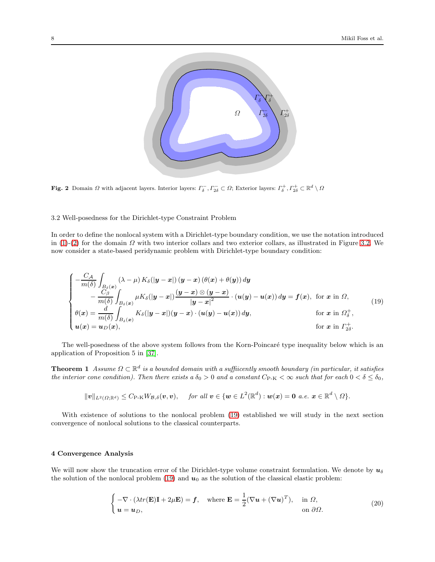

Fig. 2 Domain  $\Omega$  with adjacent layers. Interior layers:  $\Gamma_{\delta}^-$ ,  $\Gamma_{2\delta}^- \subset \Omega$ ; Exterior layers:  $\Gamma_{\delta}^+$ ,  $\Gamma_{2\delta}^+ \subset \mathbb{R}^d \setminus \Omega$ 

<span id="page-7-1"></span>3.2 Well-posedness for the Dirichlet-type Constraint Problem

In order to define the nonlocal system with a Dirichlet-type boundary condition, we use the notation introduced in [\(1\)](#page-5-1)-[\(2\)](#page-5-2) for the domain  $\Omega$  with two interior collars and two exterior collars, as illustrated in Figure [3.2.](#page-7-1) We now consider a state-based peridynamic problem with Dirichlet-type boundary condition:

<span id="page-7-2"></span>
$$
\begin{cases}\n-\frac{C_{\mathcal{A}}}{m(\delta)} \int_{B_{\delta}(x)} (\lambda - \mu) K_{\delta}(|y - x|) (y - x) (\theta(x) + \theta(y)) dy \\
-\frac{C_{\beta}}{m(\delta)} \int_{B_{\delta}(x)} \mu K_{\delta}(|y - x|) \frac{(y - x) \otimes (y - x)}{|y - x|^2} \cdot (u(y) - u(x)) dy = f(x), \text{ for } x \text{ in } \Omega, \\
\theta(x) = \frac{d}{m(\delta)} \int_{B_{\delta}(x)} K_{\delta}(|y - x|) (y - x) \cdot (u(y) - u(x)) dy, \quad \text{for } x \text{ in } \Omega_{\delta}^{+}, \\
u(x) = u_{D}(x), \quad \text{for } x \text{ in } \Gamma_{2\delta}^{+}.\n\end{cases}
$$
\n(19)

The well-posedness of the above system follows from the Korn-Poincaré type inequality below which is an application of Proposition 5 in [\[37\]](#page-26-12).

**Theorem 1** Assume  $\Omega \subset \mathbb{R}^d$  is a bounded domain with a suffiicently smooth boundary (in particular, it satisfies the interior cone condition). Then there exists a  $\delta_0 > 0$  and a constant  $C_{P-K} < \infty$  such that for each  $0 < \delta \leq \delta_0$ ,

<span id="page-7-3"></span>
$$
\|{\boldsymbol{v}}\|_{L^2(\Omega;\mathbb{R}^d)} \leq C_{\mathrm{P\text{-}K}} W_{\mathcal{B},\delta}({\boldsymbol{v}},{\boldsymbol{v}}), \quad \textit{ for all } {\boldsymbol{v}}\in\{{\boldsymbol{w}}\in L^2(\mathbb{R}^d): {\boldsymbol{w}}({\boldsymbol{x}}) = {\boldsymbol{0}} \,\textit{ a.e. } {\boldsymbol{x}}\in\mathbb{R}^d\setminus\Omega\}.
$$

With existence of solutions to the nonlocal problem [\(19\)](#page-7-2) established we will study in the next section convergence of nonlocal solutions to the classical counterparts.

# <span id="page-7-0"></span>4 Convergence Analysis

We will now show the truncation error of the Dirichlet-type volume constraint formulation. We denote by  $u_{\delta}$ the solution of the nonlocal problem [\(19\)](#page-7-2) and  $u_0$  as the solution of the classical elastic problem:

<span id="page-7-4"></span>
$$
\begin{cases}\n-\nabla \cdot (\lambda tr(\mathbf{E})\mathbf{I} + 2\mu \mathbf{E}) = \mathbf{f}, & \text{where } \mathbf{E} = \frac{1}{2}(\nabla \mathbf{u} + (\nabla \mathbf{u})^T), & \text{in } \Omega, \\
\mathbf{u} = \mathbf{u}_D, & \text{on } \partial \Omega.\n\end{cases}
$$
\n(20)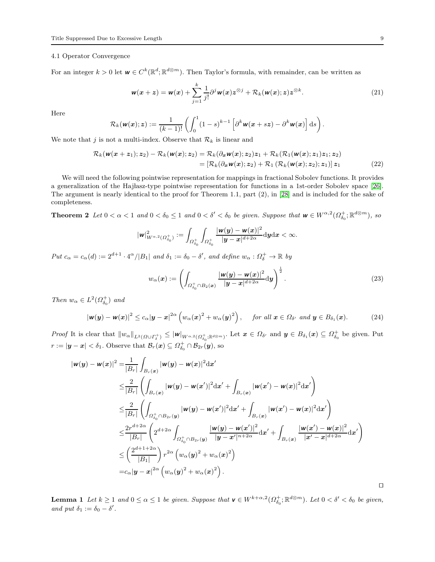#### 4.1 Operator Convergence

For an integer  $k > 0$  let  $\mathbf{w} \in C^k(\mathbb{R}^d; \mathbb{R}^{d \otimes m})$ . Then Taylor's formula, with remainder, can be written as

<span id="page-8-2"></span>
$$
\mathbf{w}(\mathbf{x}+\mathbf{z})=\mathbf{w}(\mathbf{x})+\sum_{j=1}^k\frac{1}{j!}\partial^j\mathbf{w}(\mathbf{x})\mathbf{z}^{\otimes j}+\mathcal{R}_k(\mathbf{w}(\mathbf{x});\mathbf{z})\mathbf{z}^{\otimes k}.
$$
 (21)

Here

$$
\mathcal{R}_k(\mathbf{w}(\mathbf{x});\mathbf{z}) := \frac{1}{(k-1)!} \left( \int_0^1 (1-s)^{k-1} \left[ \partial^k \mathbf{w}(\mathbf{x}+s\mathbf{z}) - \partial^k \mathbf{w}(\mathbf{x}) \right] \mathrm{d}s \right).
$$

We note that  $j$  is not a multi-index. Observe that  $\mathcal{R}_k$  is linear and

$$
\mathcal{R}_k(\mathbf{w}(\mathbf{x}+\mathbf{z}_1); \mathbf{z}_2) - \mathcal{R}_k(\mathbf{w}(\mathbf{x}); \mathbf{z}_2) = \mathcal{R}_k(\partial_{\mathbf{x}} \mathbf{w}(\mathbf{x}); \mathbf{z}_2) \mathbf{z}_1 + \mathcal{R}_k(\mathcal{R}_1(\mathbf{w}(\mathbf{x}); \mathbf{z}_1) \mathbf{z}_1; \mathbf{z}_2)
$$
  
= [\mathcal{R}\_k(\partial\_{\mathbf{x}} \mathbf{w}(\mathbf{x}); \mathbf{z}\_2) + \mathcal{R}\_1(\mathcal{R}\_k(\mathbf{w}(\mathbf{x}); \mathbf{z}\_2); \mathbf{z}\_1)] \mathbf{z}\_1 (22)

We will need the following pointwise representation for mappings in fractional Sobolev functions. It provides a generalization of the Hajlasz-type pointwise representation for functions in a 1st-order Sobolev space [\[26\]](#page-26-27). The argument is nearly identical to the proof for Theorem 1.1, part (2), in [\[28\]](#page-26-28) and is included for the sake of completeness.

**Theorem 2** Let  $0 < \alpha < 1$  and  $0 < \delta_0 \leq 1$  and  $0 < \delta' < \delta_0$  be given. Suppose that  $w \in W^{\alpha,2}(\Omega_{\delta_0}^+; \mathbb{R}^{d \otimes m})$ , so

<span id="page-8-4"></span>
$$
|\textbf{\textit{w}}|^2_{W^{\alpha,2}(\Omega^+_{\delta_0})}:=\int_{\Omega^+_{\delta_0}}\int_{\Omega^+_{\delta_0}}\frac{|\textbf{\textit{w}}(y)-\textbf{\textit{w}}(x)|^2}{|y-x|^{d+2\alpha}}\mathrm{d}y\mathrm{d}x<\infty.
$$

Put  $c_{\alpha} = c_{\alpha}(d) := 2^{d+1} \cdot 4^{\alpha} / |B_1|$  and  $\delta_1 := \delta_0 - \delta'$ , and define  $w_{\alpha} : \Omega_{\delta}^+ \to \mathbb{R}$  by

<span id="page-8-1"></span>
$$
w_{\alpha}(\boldsymbol{x}) := \left( \int_{\Omega_{\delta_0}^+ \cap B_2(\boldsymbol{x})} \frac{|\boldsymbol{w}(\boldsymbol{y}) - \boldsymbol{w}(\boldsymbol{x})|^2}{|\boldsymbol{y} - \boldsymbol{x}|^{d+2\alpha}} d\boldsymbol{y} \right)^{\frac{1}{2}}.
$$
 (23)

Then  $w_{\alpha} \in L^2(\Omega_{\delta_0}^+)$  and

<span id="page-8-0"></span>
$$
|\mathbf{w}(\mathbf{y}) - \mathbf{w}(\mathbf{x})|^2 \le c_\alpha |\mathbf{y} - \mathbf{x}|^{2\alpha} \left( w_\alpha(\mathbf{x})^2 + w_\alpha(\mathbf{y})^2 \right), \quad \text{for all } \mathbf{x} \in \Omega_{\delta'} \text{ and } \mathbf{y} \in B_{\delta_1}(\mathbf{x}). \tag{24}
$$

Proof It is clear that  $||w_{\alpha}||_{L^2(\Omega \cup \Gamma_{\delta}^+)} \le ||w||_{W^{\alpha,2}(\Omega_{\delta_0}^+;\mathbb{R}^{d\otimes m})}$ . Let  $x \in \Omega_{\delta'}$  and  $y \in B_{\delta_1}(x) \subseteq \Omega_{\delta_0}^+$  be given. Put  $r := |\mathbf{y} - \mathbf{x}| < \delta_1$ . Observe that  $\mathcal{B}_r(\mathbf{x}) \subseteq \Omega_{\delta_0}^+ \cap \mathcal{B}_{2r}(\mathbf{y}),$  so

$$
\begin{split} |\mathbf{w}(\mathbf{y}) - \mathbf{w}(\mathbf{x})|^2 &= \frac{1}{|B_r|} \int_{B_r(\mathbf{x})} |\mathbf{w}(\mathbf{y}) - \mathbf{w}(\mathbf{x})|^2 \, \mathrm{d}\mathbf{x}' \\ &\leq \frac{2}{|B_r|} \left( \int_{B_r(\mathbf{x})} |\mathbf{w}(\mathbf{y}) - \mathbf{w}(\mathbf{x}')|^2 \, \mathrm{d}\mathbf{x}' + \int_{B_r(\mathbf{x})} |\mathbf{w}(\mathbf{x}') - \mathbf{w}(\mathbf{x})|^2 \, \mathrm{d}\mathbf{x}' \right) \\ &\leq \frac{2}{|B_r|} \left( \int_{\Omega_{\delta_0}^+ \cap B_{2r}(\mathbf{y})} |\mathbf{w}(\mathbf{y}) - \mathbf{w}(\mathbf{x}')|^2 \, \mathrm{d}\mathbf{x}' + \int_{B_r(\mathbf{x})} |\mathbf{w}(\mathbf{x}') - \mathbf{w}(\mathbf{x})|^2 \, \mathrm{d}\mathbf{x}' \right) \\ &\leq \frac{2r^{d+2\alpha}}{|B_r|} \left( 2^{d+2\alpha} \int_{\Omega_{\delta_0}^+ \cap B_{2r}(\mathbf{y})} \frac{|\mathbf{w}(\mathbf{y}) - \mathbf{w}(\mathbf{x}')|^2}{|\mathbf{y} - \mathbf{x}'|^{n+2\alpha}} \, \mathrm{d}\mathbf{x}' + \int_{B_r(\mathbf{x})} \frac{|\mathbf{w}(\mathbf{x}') - \mathbf{w}(\mathbf{x})|^2}{|\mathbf{x}' - \mathbf{x}|^{d+2\alpha}} \, \mathrm{d}\mathbf{x}' \right) \\ &\leq \left( \frac{2^{d+1+2\alpha}}{|B_1|} \right) r^{2\alpha} \left( w_{\alpha}(\mathbf{y})^2 + w_{\alpha}(\mathbf{x})^2 \right) \\ &= c_{\alpha} |\mathbf{y} - \mathbf{x}|^{2\alpha} \left( w_{\alpha}(\mathbf{y})^2 + w_{\alpha}(\mathbf{x})^2 \right). \end{split}
$$

<span id="page-8-3"></span>**Lemma 1** Let  $k \ge 1$  and  $0 \le \alpha \le 1$  be given. Suppose that  $\mathbf{v} \in W^{k+\alpha,2}(\Omega^+_{\delta_0}; \mathbb{R}^{d\otimes m})$ . Let  $0 < \delta' < \delta_0$  be given, and put  $\delta_1 := \delta_0 - \delta'$ .

⊓⊔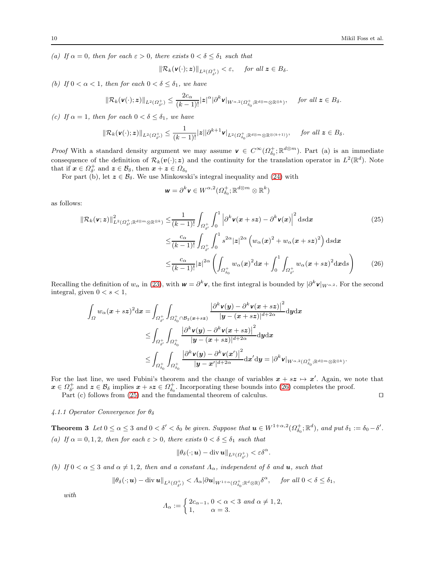(a) If  $\alpha = 0$ , then for each  $\varepsilon > 0$ , there exists  $0 < \delta \leq \delta_1$  such that

$$
\|\mathcal{R}_k(\mathbf{v}(\cdot); \mathbf{z})\|_{L^2(\Omega_{\delta'}^+)} < \varepsilon, \quad \text{ for all } \mathbf{z} \in B_\delta.
$$

(b) If  $0 < \alpha < 1$ , then for each  $0 < \delta \leq \delta_1$ , we have

$$
\|\mathcal{R}_k(\mathbf{v}(\cdot); \mathbf{z})\|_{L^2(\Omega_{\delta'}^+)} \leq \frac{2c_\alpha}{(k-1)!} |\mathbf{z}|^\alpha |\partial^k \mathbf{v}|_{W^{\alpha,2}(\Omega_{\delta_0}^+; \mathbb{R}^{d\otimes m}\otimes\mathbb{R}^{\otimes k})}, \quad \text{ for all } \mathbf{z} \in B_\delta.
$$

(c) If  $\alpha = 1$ , then for each  $0 < \delta \leq \delta_1$ , we have

$$
\|\mathcal{R}_k(\mathbf{v}(\cdot); \mathbf{z})\|_{L^2(\Omega^+_{\delta'})}\leq \frac{1}{(k-1)!}|\mathbf{z}||\partial^{k+1}\mathbf{v}|_{L^2(\Omega^+_{\delta_0}; \mathbb{R}^{d\otimes m}\otimes\mathbb{R}^{\otimes (k+1)})}, \quad \text{ for all } \mathbf{z}\in B_\delta.
$$

*Proof* With a standard density argument we may assume  $v \in C^{\infty}(\Omega_{\delta_0}^+;\mathbb{R}^{d\otimes m})$ . Part (a) is an immediate consequence of the definition of  $\mathcal{R}_k(v(\cdot); z)$  and the continuity for the translation operator in  $L^2(\mathbb{R}^d)$ . Note that if  $x \in \Omega^+_{\delta'}$  and  $z \in \mathcal{B}_{\delta}$ , then  $x + z \in \Omega_{\delta_0}$ 

For part (b), let  $z \in \mathcal{B}_{\delta}$ . We use Minkowski's integral inequality and [\(24\)](#page-8-0) with

<span id="page-9-2"></span><span id="page-9-1"></span>
$$
\mathbf{w} = \partial^k \mathbf{v} \in W^{\alpha,2}(\Omega_{\delta_0}^+;\mathbb{R}^{d\otimes m}\otimes \mathbb{R}^k)
$$

as follows:

$$
\|\mathcal{R}_{k}(\mathbf{v};\mathbf{z})\|_{L^{2}(\Omega_{\delta'}^{+};\mathbb{R}^{d\otimes m}\otimes\mathbb{R}^{\otimes k})}^{2} \leq \frac{1}{(k-1)!} \int_{\Omega_{\delta'}^{+}} \int_{0}^{1} \left|\partial^{k}\mathbf{v}(\mathbf{x}+s\mathbf{z}) - \partial^{k}\mathbf{v}(\mathbf{x})\right|^{2} ds d\mathbf{x}
$$
\n
$$
\leq \frac{c_{\alpha}}{(k-1)!} \int_{\Omega_{\delta'}^{+}} \int_{0}^{1} s^{2\alpha} |z|^{2\alpha} \left(w_{\alpha}(\mathbf{x})^{2} + w_{\alpha}(\mathbf{x}+s\mathbf{z})^{2}\right) ds d\mathbf{x}
$$
\n
$$
\leq \frac{c_{\alpha}}{(k-1)!} |z|^{2\alpha} \left(\int_{\Omega_{\delta_{0}}^{+}} w_{\alpha}(\mathbf{x})^{2} d\mathbf{x} + \int_{0}^{1} \int_{\Omega_{\delta'}^{+}} w_{\alpha}(\mathbf{x}+s\mathbf{z})^{2} d\mathbf{x} ds\right) \tag{26}
$$

Recalling the definition of  $w_\alpha$  in [\(23\)](#page-8-1), with  $w = \partial^k v$ , the first integral is bounded by  $|\partial^k v|_{W^{\alpha,2}}$ . For the second integral, given  $0 < s < 1$ ,

$$
\begin{aligned} \int_{\Omega}w_{\alpha}(\pmb{x}+s\pmb{z})^{2}\mathrm{d}\pmb{x}&=\int_{\Omega_{\delta'}^{+}}\int_{\Omega_{\delta_{0}}^{+}\cap\mathcal{B}_{2}(\pmb{x}+s\pmb{z})}\frac{\left|\partial^{k}\pmb{v}(\pmb{y})-\partial^{k}\pmb{v}(\pmb{x}+s\pmb{z})\right|^{2}}{|\pmb{y}-(\pmb{x}+s\pmb{z})|^{d+2\alpha}}\mathrm{d}\pmb{y}\mathrm{d}\pmb{x}\\ &\leq \int_{\Omega_{\delta'}^{+}}\int_{\Omega_{\delta_{0}}^{+}}\frac{\left|\partial^{k}\pmb{v}(\pmb{y})-\partial^{k}\pmb{v}(\pmb{x}+s\pmb{z})\right|^{2}}{|\pmb{y}-(\pmb{x}+s\pmb{z})|^{d+2\alpha}}\mathrm{d}\pmb{y}\mathrm{d}\pmb{x}\\ &\leq \int_{\Omega_{\delta_{0}}^{+}}\int_{\Omega_{\delta_{0}}^{+}}\frac{\left|\partial^{k}\pmb{v}(\pmb{y})-\partial^{k}\pmb{v}(\pmb{x}')\right|^{2}}{|\pmb{y}-\pmb{x}'|^{d+2\alpha}}\mathrm{d}\pmb{x}'\mathrm{d}\pmb{y}=\left|\partial^{k}\pmb{v}\right|_{W^{\alpha,2}(\Omega_{\delta_{0}}^{+};\mathbb{R}^{d\otimes m}\otimes\mathbb{R}^{\otimes k})}. \end{aligned}
$$

For the last line, we used Fubini's theorem and the change of variables  $x + sz \mapsto x'$ . Again, we note that  $x \in \Omega_{\delta}^+$  and  $z \in \mathcal{B}_{\delta}$  implies  $x + s z \in \Omega_{\delta_0}^+$ . Incorporating these bounds into [\(26\)](#page-9-1) completes the proof.

Part (c) follows from [\(25\)](#page-9-2) and the fundamental theorem of calculus. □

## 4.1.1 Operator Convergence for  $\theta_{\delta}$

<span id="page-9-0"></span>**Theorem 3** Let  $0 \le \alpha \le 3$  and  $0 < \delta' < \delta_0$  be given. Suppose that  $u \in W^{1+\alpha,2}(\Omega^+_{\delta_0};\mathbb{R}^d)$ , and put  $\delta_1 := \delta_0 - \delta'.$ (a) If  $\alpha = 0, 1, 2$ , then for each  $\varepsilon > 0$ , there exists  $0 < \delta \leq \delta_1$  such that

$$
\|\theta_\delta(\cdot;\boldsymbol{u})-\operatorname{div}\boldsymbol{u}\|_{L^2(\Omega^+_{\delta'})}<\varepsilon\delta^\alpha.
$$

(b) If  $0 < \alpha \leq 3$  and  $\alpha \neq 1, 2$ , then and a constant  $\Lambda_{\alpha}$ , independent of  $\delta$  and  $u$ , such that

$$
\|\theta_\delta(\cdot; \boldsymbol{u}) - \operatorname{div} \boldsymbol{u}\|_{L^2(\Omega^+_{\delta'})} < \Lambda_\alpha |\partial \boldsymbol{u}|_{W^{1+\alpha}(\Omega^+_{\delta_0}; \mathbb{R}^d \otimes \mathbb{R})} \delta^\alpha, \quad \text{ for all } 0 < \delta \leq \delta_1,
$$

with

$$
\Lambda_{\alpha} := \begin{cases} 2c_{\alpha-1}, \ 0 < \alpha < 3 \ \text{and} \ \alpha \neq 1, 2, \\ 1, \qquad \alpha = 3. \end{cases}
$$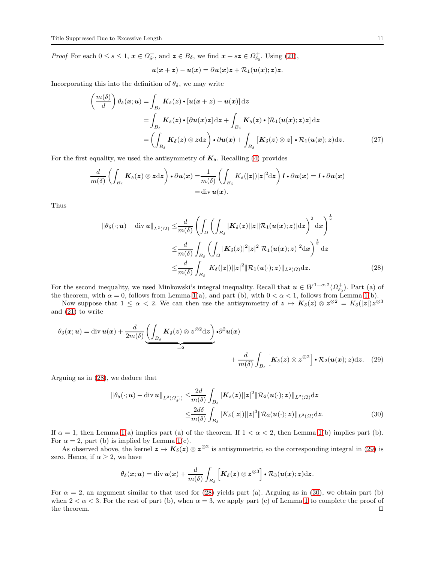*Proof* For each  $0 \le s \le 1$ ,  $x \in \Omega_{\delta}^+$ , and  $z \in B_{\delta}$ , we find  $x + s z \in \Omega_{\delta_0}^+$ . Using [\(21\)](#page-8-2),

<span id="page-10-3"></span>
$$
\boldsymbol{u}(\boldsymbol{x}+\boldsymbol{z})-\boldsymbol{u}(\boldsymbol{x})=\partial\boldsymbol{u}(\boldsymbol{x})\boldsymbol{z}+\mathcal{R}_1(\boldsymbol{u}(\boldsymbol{x});\boldsymbol{z})\boldsymbol{z}.
$$

Incorporating this into the definition of  $\theta_{\delta}$ , we may write

$$
\left(\frac{m(\delta)}{d}\right)\theta_{\delta}(x;u) = \int_{B_{\delta}} K_{\delta}(z) \cdot [u(x+z) - u(x)] dz
$$
  
\n
$$
= \int_{B_{\delta}} K_{\delta}(z) \cdot [\partial u(x)z] dz + \int_{B_{\delta}} K_{\delta}(z) \cdot [\mathcal{R}_{1}(u(x);z)z] dz
$$
  
\n
$$
= \left(\int_{B_{\delta}} K_{\delta}(z) \otimes z dz\right) \cdot \partial u(x) + \int_{B_{\delta}} [K_{\delta}(z) \otimes z] \cdot \mathcal{R}_{1}(u(x);z) dz. \tag{27}
$$

For the first equality, we used the antisymmetry of  $\mathbf{K}_{\delta}$ . Recalling [\(4\)](#page-5-3) provides

$$
\frac{d}{m(\delta)} \left( \int_{B_{\delta}} \mathbf{K}_{\delta}(z) \otimes z \, dz \right) \cdot \partial u(x) = \frac{1}{m(\delta)} \left( \int_{B_{\delta}} K_{\delta}(|z|) |z|^2 \, dz \right) \mathbf{I} \cdot \partial u(x) = \mathbf{I} \cdot \partial u(x) \n= \text{div } u(x).
$$

Thus

<span id="page-10-0"></span>
$$
\|\theta_{\delta}(\cdot; \boldsymbol{u}) - \operatorname{div} \boldsymbol{u}\|_{L^{2}(\Omega)} \leq \frac{d}{m(\delta)} \left( \int_{\Omega} \left( \int_{B_{\delta}} |K_{\delta}(z)||z| |\mathcal{R}_{1}(\boldsymbol{u}(\boldsymbol{x});z)| \mathrm{d}z \right)^{2} \mathrm{d}\boldsymbol{x} \right)^{\frac{1}{2}} \n\leq \frac{d}{m(\delta)} \int_{B_{\delta}} \left( \int_{\Omega} |K_{\delta}(z)|^{2} |z|^{2} |\mathcal{R}_{1}(\boldsymbol{u}(\boldsymbol{x});z)|^{2} \mathrm{d}\boldsymbol{x} \right)^{\frac{1}{2}} \mathrm{d}z \n\leq \frac{d}{m(\delta)} \int_{B_{\delta}} |K_{\delta}(|z|) ||z|^{2} ||\mathcal{R}_{1}(\boldsymbol{u}(\cdot);z)||_{L^{2}(\Omega)} \mathrm{d}z.
$$
\n(28)

For the second inequality, we used Minkowski's integral inequality. Recall that  $u \in W^{1+\alpha,2}(\Omega_{\delta_0}^+)$ . Part (a) of the theorem, with  $\alpha = 0$ , follows from Lemma [1\(](#page-8-3)a), and part (b), with  $0 < \alpha < 1$ , follows from Lemma 1(b).

Now suppose that  $1 \leq \alpha < 2$ . We can then use the antisymmetry of  $z \mapsto K_{\delta}(z) \otimes z^{\otimes 2} = K_{\delta}(z)z^{\otimes 3}$ and [\(21\)](#page-8-2) to write

$$
\theta_{\delta}(\mathbf{x}; \mathbf{u}) = \text{div}\,\mathbf{u}(\mathbf{x}) + \frac{d}{2m(\delta)} \underbrace{\left(\int_{B_{\delta}} \mathbf{K}_{\delta}(\mathbf{z}) \otimes \mathbf{z}^{\otimes 2} \mathrm{d}\mathbf{z}\right)}_{=\mathbf{0}} \cdot \partial^{2} \mathbf{u}(\mathbf{x}) + \frac{d}{m(\delta)} \int_{B_{\delta}} \left[\mathbf{K}_{\delta}(\mathbf{z}) \otimes \mathbf{z}^{\otimes 2}\right] \cdot \mathcal{R}_{2}(\mathbf{u}(\mathbf{x}); \mathbf{z}) \mathrm{d}\mathbf{z}.
$$
 (29)

Arguing as in [\(28\)](#page-10-0), we deduce that

<span id="page-10-1"></span>
$$
\|\theta_{\delta}(\cdot; \boldsymbol{u}) - \operatorname{div} \boldsymbol{u}\|_{L^{2}(\Omega_{\delta'}^{+})} \leq \frac{2d}{m(\delta)} \int_{B_{\delta}} |\boldsymbol{K}_{\delta}(\boldsymbol{z})||\boldsymbol{z}|^{2} \|\mathcal{R}_{2}(\boldsymbol{u}(\cdot); \boldsymbol{z})\|_{L^{2}(\Omega)} d\boldsymbol{z}
$$

$$
\leq \frac{2d\delta}{m(\delta)} \int_{B_{\delta}} |K_{\delta}(|\boldsymbol{z}|)||\boldsymbol{z}|^{3} \|\mathcal{R}_{2}(\boldsymbol{u}(\cdot); \boldsymbol{z})\|_{L^{2}(\Omega)} d\boldsymbol{z}.
$$
(30)

If  $\alpha = 1$ , then Lemma [1\(](#page-8-3)a) implies part (a) of the theorem. If  $1 < \alpha < 2$ , then Lemma 1(b) implies part (b). For  $\alpha = 2$ , part (b) is implied by Lemma [1\(](#page-8-3)c).

As observed above, the kernel  $z \mapsto K_\delta(z) \otimes z^{\otimes 2}$  is antisymmetric, so the corresponding integral in [\(29\)](#page-10-1) is zero. Hence, if  $\alpha \geq 2$ , we have

<span id="page-10-2"></span>
$$
\theta_{\delta}(\mathbf{x};\mathbf{u}) = \mathrm{div}\,\mathbf{u}(\mathbf{x}) + \frac{d}{m(\delta)}\int_{B_{\delta}}\left[\mathbf{K}_{\delta}(\mathbf{z})\otimes\mathbf{z}^{\otimes3}\right]\bullet\mathcal{R}_{3}(\mathbf{u}(\mathbf{x});\mathbf{z})\mathrm{d}\mathbf{z}.
$$

<span id="page-10-4"></span>For  $\alpha = 2$ , an argument similar to that used for [\(28\)](#page-10-0) yields part (a). Arguing as in [\(30\)](#page-10-2), we obtain part (b) when  $2 < \alpha < 3$ . For the rest of part (b), when  $\alpha = 3$ , we apply part (c) of Lemma [1](#page-8-3) to complete the proof of the theorem. ⊓⊔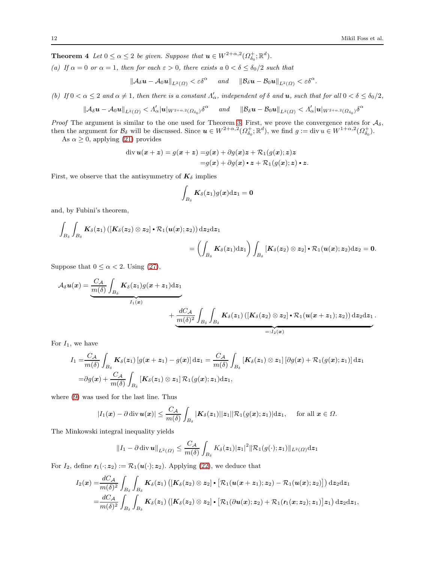**Theorem 4** Let  $0 \le \alpha \le 2$  be given. Suppose that  $u \in W^{2+\alpha,2}(\Omega_{\delta_0}^+;\mathbb{R}^d)$ .

(a) If  $\alpha = 0$  or  $\alpha = 1$ , then for each  $\varepsilon > 0$ , there exists  $a \ 0 < \delta \leq \delta_0/2$  such that

 $\|\mathcal{A}_{\delta}\boldsymbol{u}-\mathcal{A}_0\boldsymbol{u}\|_{L^2(\Omega)} < \varepsilon\delta^{\alpha} \quad \text{ and } \quad \|\mathcal{B}_{\delta}\boldsymbol{u}-\mathcal{B}_0\boldsymbol{u}\|_{L^2(\Omega)} < \varepsilon\delta^{\alpha}.$ 

(b) If  $0 < \alpha \leq 2$  and  $\alpha \neq 1$ , then there is a constant  $\Lambda'_{\alpha}$ , independent of  $\delta$  and  $u$ , such that for all  $0 < \delta \leq \delta_0/2$ ,

$$
\|\mathcal{A}_{\delta}\bm{u}-\mathcal{A}_0\bm{u}\|_{L^2(\Omega)} < \Lambda_{\alpha}'|\bm{u}|_{W^{2+\alpha,2}(\Omega_{\delta_0})}\delta^{\alpha} \quad \text{ and } \quad \|\mathcal{B}_{\delta}\bm{u}-\mathcal{B}_0\bm{u}\|_{L^2(\Omega)} < \Lambda_{\alpha}'|\bm{u}|_{W^{2+\alpha,2}(\Omega_{\delta_0})}\delta^{\alpha}
$$

*Proof* The argument is similar to the one used for Theorem [3.](#page-9-0) First, we prove the convergence rates for  $A_{\delta}$ , then the argument for  $\mathcal{B}_{\delta}$  will be discussed. Since  $u \in W^{2+\alpha,2}(\Omega_{\delta_0}^+;\mathbb{R}^d)$ , we find  $g := \text{div } u \in W^{1+\alpha,2}(\Omega_{\delta_0}^+).$ 

As  $\alpha \geq 0$ , applying [\(21\)](#page-8-2) provides

$$
\operatorname{div} \boldsymbol{u}(\boldsymbol{x}+\boldsymbol{z}) = g(\boldsymbol{x}+\boldsymbol{z}) = g(\boldsymbol{x}) + \partial g(\boldsymbol{x})\boldsymbol{z} + \mathcal{R}_1(g(\boldsymbol{x}); \boldsymbol{z})\boldsymbol{z}
$$

$$
= g(\boldsymbol{x}) + \partial g(\boldsymbol{x}) \cdot \boldsymbol{z} + \mathcal{R}_1(g(\boldsymbol{x}); \boldsymbol{z}) \cdot \boldsymbol{z}.
$$

First, we observe that the antisymmetry of  $K_{\delta}$  implies

$$
\int_{B_\delta}\boldsymbol{K}_\delta(\boldsymbol{z}_1)g(\boldsymbol{x})\mathrm{d}\boldsymbol{z}_1=\boldsymbol{0}
$$

and, by Fubini's theorem,

$$
\begin{aligned}\int_{B_\delta}\int_{B_\delta} K_\delta(z_1)\left(\left[K_\delta(z_2)\otimes z_2\right]\boldsymbol{\cdot} \mathcal{R}_1(u(x);z_2)\right)\mathrm{d}z_2\mathrm{d}z_1\\&=\left(\int_{B_\delta} K_\delta(z_1)\mathrm{d}z_1\right)\int_{B_\delta} \left[K_\delta(z_2)\otimes z_2\right]\boldsymbol{\cdot} \mathcal{R}_1(u(x);z_2)\mathrm{d}z_2=0.\end{aligned}
$$

Suppose that  $0 \leq \alpha < 2$ . Using [\(27\)](#page-10-3),

$$
\mathcal{A}_{\delta}u(x) = \underbrace{\frac{C_{\mathcal{A}}}{m(\delta)}\int_{B_{\delta}}K_{\delta}(z_1)g(x+z_1)\mathrm{d}z_1}_{I_1(x)} + \underbrace{\frac{dC_{\mathcal{A}}}{m(\delta)^2}\int_{B_{\delta}}\int_{B_{\delta}}K_{\delta}(z_1)\left([K_{\delta}(z_2)\otimes z_2]\bullet \mathcal{R}_1(u(x+z_1);z_2)\right)\mathrm{d}z_2\mathrm{d}z_1}_{=:I_2(x)}.
$$

For  $I_1$ , we have

$$
I_1 = \frac{C_A}{m(\delta)} \int_{B_\delta} \mathbf{K}_{\delta}(z_1) \left[ g(x+z_1) - g(x) \right] dz_1 = \frac{C_A}{m(\delta)} \int_{B_\delta} \left[ \mathbf{K}_{\delta}(z_1) \otimes z_1 \right] \left[ \partial g(x) + \mathcal{R}_1(g(x); z_1) \right] dz_1
$$
  
=  $\partial g(x) + \frac{C_A}{m(\delta)} \int_{B_\delta} \left[ \mathbf{K}_{\delta}(z_1) \otimes z_1 \right] \mathcal{R}_1(g(x); z_1) dz_1,$ 

where [\(9\)](#page-6-0) was used for the last line. Thus

$$
|I_1(\boldsymbol{x}) - \partial \operatorname{div} \boldsymbol{u}(\boldsymbol{x})| \leq \frac{C_{\mathcal{A}}}{m(\delta)} \int_{B_{\delta}} |\boldsymbol{K}_{\delta}(\boldsymbol{z}_1)||\boldsymbol{z}_1| |\mathcal{R}_1(g(\boldsymbol{x}); \boldsymbol{z}_1)| d \boldsymbol{z}_1, \quad \text{ for all } \boldsymbol{x} \in \Omega.
$$

The Minkowski integral inequality yields

$$
||I_1 - \partial \operatorname{div} \boldsymbol{u}||_{L^2(\Omega)} \leq \frac{C_{\mathcal{A}}}{m(\delta)} \int_{B_{\delta}} K_{\delta}(z_1) |z_1|^2 ||\mathcal{R}_1(g(\cdot); z_1)||_{L^2(\Omega)} d z_1
$$

For  $I_2$ , define  $r_1(\cdot; z_2) := \mathcal{R}_1(\mathbf{u}(\cdot); z_2)$ . Applying [\(22\)](#page-8-4), we deduce that

$$
\begin{aligned} I_2(\pmb{x})=&\frac{dC_{\mathcal{A}}}{m(\delta)^2}\int_{B_{\delta}}\int_{B_{\delta}}\pmb{K}_{\delta}(\pmb{z}_1)\left(\left[\pmb{K}_{\delta}(\pmb{z}_2)\otimes\pmb{z}_2\right]\bullet\left[\mathcal{R}_1(\pmb{u}(\pmb{x}+\pmb{z}_1); \pmb{z}_2)-\mathcal{R}_1(\pmb{u}(\pmb{x}); \pmb{z}_2)\right]\right)\text{d}\pmb{z}_2\text{d}\pmb{z}_1\\ =&\frac{dC_{\mathcal{A}}}{m(\delta)^2}\int_{B_{\delta}}\int_{B_{\delta}}\pmb{K}_{\delta}(\pmb{z}_1)\left(\left[\pmb{K}_{\delta}(\pmb{z}_2)\otimes\pmb{z}_2\right]\bullet\left[\mathcal{R}_1(\partial\pmb{u}(\pmb{x}); \pmb{z}_2)+\mathcal{R}_1(\pmb{r}_1(\pmb{x}; \pmb{z}_2); \pmb{z}_1)\right]\pmb{z}_1\right)\text{d}\pmb{z}_2\text{d}\pmb{z}_1, \end{aligned}
$$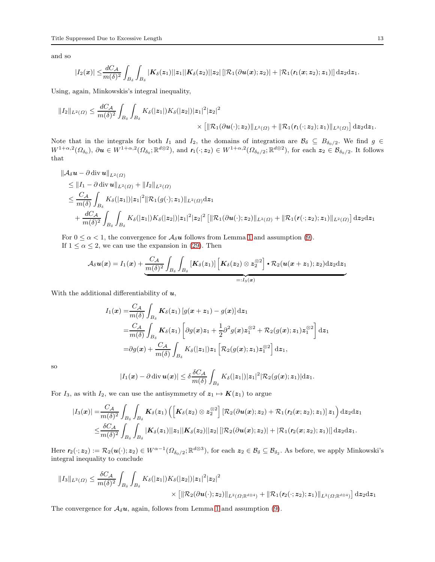and so

$$
|I_2(x)|\leq \frac{dC_{\mathcal{A}}}{m(\delta)^2}\int_{B_\delta}\int_{B_\delta} |K_\delta(z_1)||z_1||K_\delta(z_2)||z_2|\left[|\mathcal{R}_1(\partial \boldsymbol{u}(\boldsymbol{x});z_2)|+|\mathcal{R}_1(r_1(\boldsymbol{x};z_2);z_1)|\right]\mathrm{d}z_2\mathrm{d}z_1.
$$

Using, again, Minkowskis's integral inequality,

$$
||I_2||_{L^2(\Omega)} \le \frac{dC_A}{m(\delta)^2} \int_{B_\delta} \int_{B_\delta} K_\delta(|z_1|) K_\delta(|z_2|) |z_1|^2 |z_2|^2 \times \left[ \|\mathcal{R}_1(\partial \boldsymbol{u}(\cdot); z_2)\|_{L^2(\Omega)} + \|\mathcal{R}_1(\boldsymbol{r}_1(\cdot; z_2); z_1)\|_{L^2(\Omega)} \right] dz_2 dz_1.
$$

Note that in the integrals for both  $I_1$  and  $I_2$ , the domains of integration are  $\mathcal{B}_\delta \subseteq B_{\delta_0/2}$ . We find  $g \in$  $W^{1+\alpha,2}(\Omega_{\delta_0}),\,\partial\boldsymbol{u}\in W^{1+\alpha,2}(\Omega_{\delta_0};\mathbb{R}^{d\otimes 2}),\,\text{and}\,\, \boldsymbol{r}_1(\cdot;\boldsymbol{z}_2)\in W^{1+\alpha,2}(\Omega_{\delta_0/2};\mathbb{R}^{d\otimes 2}),\,\text{for each }\boldsymbol{z}_2\in\mathcal{B}_{\delta_0/2}.$  It follows that

$$
\|\mathcal{A}_{\delta}u - \partial \operatorname{div} u\|_{L^{2}(\Omega)}\n\leq \|I_{1} - \partial \operatorname{div} u\|_{L^{2}(\Omega)} + \|I_{2}\|_{L^{2}(\Omega)}\n\leq \frac{C_{\mathcal{A}}}{m(\delta)} \int_{B_{\delta}} K_{\delta}(|z_{1}|) |z_{1}|^{2} \|\mathcal{R}_{1}(g(\cdot); z_{1})\|_{L^{2}(\Omega)} d z_{1}\n+ \frac{dC_{\mathcal{A}}}{m(\delta)^{2}} \int_{B_{\delta}} \int_{B_{\delta}} K_{\delta}(|z_{1}|) K_{\delta}(|z_{2}|) |z_{1}|^{2} |z_{2}|^{2} \left[ \|\mathcal{R}_{1}(\partial u(\cdot); z_{2})\|_{L^{2}(\Omega)} + \|\mathcal{R}_{1}(r(\cdot; z_{2}); z_{1})\|_{L^{2}(\Omega)} \right] dz_{2} dz_{1}
$$

For  $0 \leq \alpha < 1$  $0 \leq \alpha < 1$ , the convergence for  $\mathcal{A}_{\delta}u$  follows from Lemma 1 and assumption [\(9\)](#page-6-0). If  $1 \le \alpha \le 2$ , we can use the expansion in [\(29\)](#page-10-1). Then

$$
\mathcal{A}_{\delta}\bm{u}(\bm{x}) = I_1(\bm{x}) + \underbrace{\frac{C_{\mathcal{A}}}{m(\delta)^2}\int_{B_{\delta}}\int_{B_{\delta}}\left[\bm{K}_{\delta}(\bm{z}_1)\right]\left[\bm{K}_{\delta}(\bm{z}_2)\otimes \bm{z}_2^{\otimes 2}\right]\bm{\cdot}\mathcal{R}_2(\bm{u}(\bm{x}+\bm{z}_1);\bm{z}_2)\mathrm{d}\bm{z}_2\mathrm{d}\bm{z}_1}{\prod_{i=1}^{n-1}(\bm{x})}
$$

With the additional differentiability of  $u$ ,

$$
I_1(\boldsymbol{x}) = \frac{C_A}{m(\delta)} \int_{B_{\delta}} \boldsymbol{K}_{\delta}(z_1) \left[ g(\boldsymbol{x} + \boldsymbol{z}_1) - g(\boldsymbol{x}) \right] d\boldsymbol{z}_1
$$
  
\n
$$
= \frac{C_A}{m(\delta)} \int_{B_{\delta}} \boldsymbol{K}_{\delta}(z_1) \left[ \partial g(\boldsymbol{x}) z_1 + \frac{1}{2} \partial^2 g(\boldsymbol{x}) z_1^{\otimes 2} + \mathcal{R}_2(g(\boldsymbol{x}); z_1) z_1^{\otimes 2} \right] d\boldsymbol{z}_1
$$
  
\n
$$
= \partial g(\boldsymbol{x}) + \frac{C_A}{m(\delta)} \int_{B_{\delta}} K_{\delta}(|z_1|) z_1 \left[ \mathcal{R}_2(g(\boldsymbol{x}); z_1) z_1^{\otimes 2} \right] d\boldsymbol{z}_1,
$$

so

$$
|I_1(\boldsymbol{x}) - \partial \operatorname{div} \boldsymbol{u}(\boldsymbol{x})| \leq \delta \frac{\delta C_{\mathcal{A}}}{m(\delta)} \int_{B_{\delta}} K_{\delta}(|z_1|) |z_1|^2 |\mathcal{R}_2(g(\boldsymbol{x});z_1)| \mathrm{d} z_1.
$$

For  $I_3$ , as with  $I_2$ , we can use the antisymmetry of  $z_1 \mapsto K(z_1)$  to argue

$$
|I_3(x)| = \frac{C_{\mathcal{A}}}{m(\delta)^2} \int_{B_{\delta}} \int_{B_{\delta}} K_{\delta}(z_1) \left( \left[ K_{\delta}(z_2) \otimes z_2^{\otimes 2} \right] \left[ \mathcal{R}_2(\partial u(x); z_2) + \mathcal{R}_1(r_2(x; z_2); z_1) \right] z_1 \right) dz_2 dz_1
$$
  

$$
\leq \frac{\delta C_{\mathcal{A}}}{m(\delta)^2} \int_{B_{\delta}} \int_{B_{\delta}} |K_{\delta}(z_1)| |z_1| |K_{\delta}(z_2)| |z_2| \left[ |\mathcal{R}_2(\partial u(x); z_2)| + |\mathcal{R}_1(r_2(x; z_2); z_1)| \right] dz_2 dz_1.
$$

Here  $r_2(\cdot; z_2) := \mathcal{R}_2(\boldsymbol{u}(\cdot); z_2) \in W^{\alpha-1}(\Omega_{\delta_0/2}; \mathbb{R}^{d \otimes 3}),$  for each  $z_2 \in \mathcal{B}_\delta \subseteq \mathcal{B}_{\delta_2}$ . As before, we apply Minkowski's integral inequality to conclude

$$
||I_3||_{L^2(\Omega)} \leq \frac{\delta C_{\mathcal{A}}}{m(\delta)^2} \int_{B_{\delta}} \int_{B_{\delta}} K_{\delta}(|z_1|) K_{\delta}(|z_2|) |z_1|^2 |z_2|^2 \times [||\mathcal{R}_2(\partial u(\cdot); z_2)||_{L^2(\Omega; \mathbb{R}^{d \otimes 4})} + ||\mathcal{R}_1(r_2(\cdot; z_2); z_1)||_{L^2(\Omega; \mathbb{R}^{d \otimes 4})}] dz_2 dz_1
$$

The convergence for  $A_{\delta}u$ , again, follows from Lemma [1](#page-8-3) and assumption [\(9\)](#page-6-0).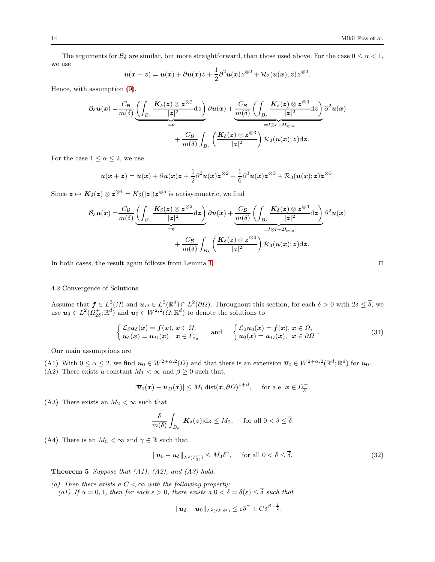The arguments for  $\mathcal{B}_{\delta}$  are similar, but more straightforward, than those used above. For the case  $0 \leq \alpha < 1$ , we use

$$
u(x+z) = u(x) + \partial u(x)z + \frac{1}{2}\partial^2 u(x)z^{\otimes 2} + \mathcal{R}_2(u(x);z)z^{\otimes 2}.
$$

Hence, with assumption [\(9\)](#page-6-0),

$$
\mathcal{B}_{\delta}u(x) = \frac{C_{\mathcal{B}}}{m(\delta)} \underbrace{\left(\int_{B_{\delta}} \frac{K_{\delta}(z) \otimes z^{\otimes 2}}{|z|^2} dz\right)}_{=0} \partial u(x) + \underbrace{\frac{C_{\mathcal{B}}}{m(\delta)} \left(\int_{B_{\delta}} \frac{K_{\delta}(z) \otimes z^{\otimes 3}}{|z|^2} dz\right)}_{=I \otimes I + 2I_{\text{sym}}} \partial^2 u(x) + \frac{C_{\mathcal{B}}}{m(\delta)} \int_{B_{\delta}} \left(\frac{K_{\delta}(z) \otimes z^{\otimes 3}}{|z|^2}\right) \mathcal{R}_2(u(x); z) dz.
$$

For the case  $1 \leq \alpha \leq 2$ , we use

$$
u(x+z) = u(x) + \partial u(x)z + \frac{1}{2}\partial^2 u(x)z^{\otimes 2} + \frac{1}{6}\partial^3 u(x)z^{\otimes 3} + \mathcal{R}_3(u(x);z)z^{\otimes 3}.
$$

Since  $\bm{z} \mapsto \bm{K}_{\delta}(\bm{z})\otimes \bm{z}^{\otimes 4} = K_{\delta}(|\bm{z}|)\bm{z}^{\otimes 5}$  is antisymmetric, we find

$$
\mathcal{B}_{\delta}u(x) = \frac{C_{\mathcal{B}}}{m(\delta)} \underbrace{\left(\int_{B_{\delta}} \frac{K_{\delta}(z) \otimes z^{\otimes 2}}{|z|^2} dz\right)}_{=0} \partial u(x) + \underbrace{\frac{C_{\mathcal{B}}}{m(\delta)} \left(\int_{B_{\delta}} \frac{K_{\delta}(z) \otimes z^{\otimes 3}}{|z|^2} dz\right)}_{=I \otimes I + 2I_{\text{sym}}} \partial^2 u(x) + \frac{C_{\mathcal{B}}}{m(\delta)} \int_{B_{\delta}} \left(\frac{K_{\delta}(z) \otimes z^{\otimes 4}}{|z|^2}\right) \mathcal{R}_3(u(x); z) dz.
$$

In both cases, the result again follows from Lemma [1.](#page-8-3) ⊓⊔

# 4.2 Convergence of Solutions

Assume that  $f \in L^2(\Omega)$  and  $u_D \in L^2(\mathbb{R}^d) \cap L^2(\partial\Omega)$ . Throughout this section, for each  $\delta > 0$  with  $2\delta \leq \overline{\delta}$ , we use  $u_{\delta} \in L^2(\Omega_{2\delta}^+;\mathbb{R}^d)$  and  $u_0 \in W^{2,2}(\Omega;\mathbb{R}^d)$  to denote the solutions to

$$
\begin{cases}\n\mathcal{L}_{\delta}u_{\delta}(x) = f(x), x \in \Omega, \\
u_{\delta}(x) = u_{D}(x), x \in \Gamma_{2\delta}^{+} \n\end{cases}\n\text{ and }\n\begin{cases}\n\mathcal{L}_{0}u_{0}(x) = f(x), x \in \Omega, \\
u_{0}(x) = u_{D}(x), x \in \partial\Omega\n\end{cases}.
$$
\n(31)

Our main assumptions are

(A1) With  $0 \le \alpha \le 2$ , we find  $u_0 \in W^{2+\alpha,2}(\Omega)$  and that there is an extension  $\overline{u}_0 \in W^{2+\alpha,2}(\mathbb{R}^d;\mathbb{R}^d)$  for  $u_0$ . (A2) There exists a constant  $M_1 < \infty$  and  $\beta \geq 0$  such that,

$$
|\overline{u}_0(x) - u_D(x)| \le M_1 \operatorname{dist}(x, \partial \Omega)^{1+\beta}, \quad \text{ for a.e. } x \in \Omega_{\delta}^+.
$$

(A3) There exists an  $M_2 < \infty$  such that

$$
\frac{\delta}{m(\delta)}\int_{B_{\delta}}|\mathbf{K}_{\delta}(z)|\mathrm{d} z\leq M_2,\quad \text{ for all }0<\delta\leq\overline{\delta}.
$$

 $\|\boldsymbol{u}_\delta - \boldsymbol{u}_0 \|_{L^2(\Omega;\mathbb{R}^d)} \leq \varepsilon \delta^\alpha + C \delta^{\beta - \frac{1}{2}}.$ 

(A4) There is an  $M_3 < \infty$  and  $\gamma \in \mathbb{R}$  such that

$$
\|\mathbf{u}_0 - \mathbf{u}_\delta\|_{L^2(\Gamma_{2\delta}^-)} \le M_3 \delta^\gamma, \quad \text{for all } 0 < \delta \le \overline{\delta}.\tag{32}
$$

<span id="page-13-0"></span>**Theorem 5** Suppose that  $(A1)$ ,  $(A2)$ , and  $(A3)$  hold.

(a) Then there exists a  $C < \infty$  with the following property: (a1) If  $\alpha = 0, 1$ , then for each  $\varepsilon > 0$ , there exists  $a \ 0 < \delta = \delta(\varepsilon) \leq \overline{\delta}$  such that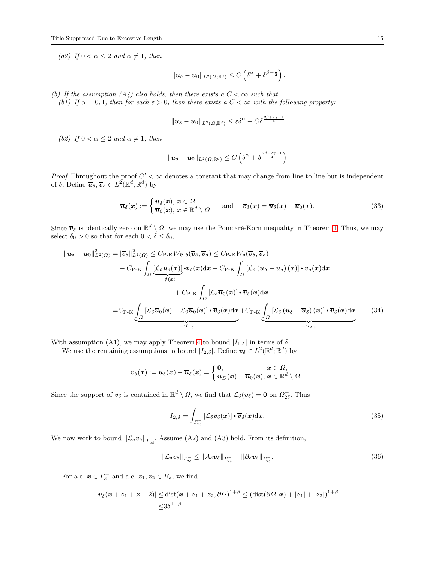(a2) If  $0 < \alpha < 2$  and  $\alpha \neq 1$ , then

$$
\|\boldsymbol{u}_{\delta}-\boldsymbol{u}_0\|_{L^2(\Omega;\mathbb{R}^d)}\leq C\left(\delta^{\alpha}+\delta^{\beta-\frac{1}{2}}\right).
$$

(b) If the assumption (A4) also holds, then there exists a  $C < \infty$  such that

(b1) If  $\alpha = 0, 1$ , then for each  $\varepsilon > 0$ , then there exists a  $C < \infty$  with the following property:

$$
\|\boldsymbol{u}_{\delta}-\boldsymbol{u}_0\|_{L^2(\Omega;\mathbb{R}^d)}\leq \varepsilon\delta^{\alpha}+C\delta^{\frac{2\beta+2\gamma-1}{4}}.
$$

(b2) If  $0 < \alpha < 2$  and  $\alpha \neq 1$ , then

$$
\|\boldsymbol{u}_{\delta}-\boldsymbol{u}_0\|_{L^2(\Omega;\mathbb{R}^d)}\leq C\left(\delta^{\alpha}+\delta^{\frac{2\beta+2\gamma-1}{4}}\right)
$$

*Proof* Throughout the proof  $C' < \infty$  denotes a constant that may change from line to line but is independent of  $\delta$ . Define  $\overline{\boldsymbol{u}}_{\delta}, \overline{\boldsymbol{v}}_{\delta} \in L^2(\mathbb{R}^d; \mathbb{R}^d)$  by

<span id="page-14-1"></span>
$$
\overline{u}_{\delta}(x) := \begin{cases} u_{\delta}(x), x \in \Omega \\ \overline{u}_0(x), x \in \mathbb{R}^d \setminus \Omega \end{cases} \quad \text{and} \quad \overline{v}_{\delta}(x) = \overline{u}_{\delta}(x) - \overline{u}_0(x). \tag{33}
$$

.

Since  $\bar{v}_\delta$  is identically zero on  $\mathbb{R}^d \setminus \Omega$ , we may use the Poincaré-Korn inequality in Theorem [1.](#page-7-3) Thus, we may select  $\delta_0 > 0$  so that for each  $0 < \delta \leq \delta_0$ ,

$$
\|u_{\delta}-u_{0}\|_{L^{2}(\Omega)}^{2}=\|\overline{v}_{\delta}\|_{L^{2}(\Omega)}^{2}\leq C_{\mathrm{P-K}}W_{\mathcal{B},\delta}(\overline{v}_{\delta},\overline{v}_{\delta})\leq C_{\mathrm{P-K}}W_{\delta}(\overline{v}_{\delta},\overline{v}_{\delta})
$$
\n
$$
=-C_{\mathrm{P-K}}\int_{\Omega}\underbrace{[\mathcal{L}_{\delta}u_{\delta}(x)]\cdot\overline{v}_{\delta}(x)}_{=f(x)}\cdot\overline{v}_{\delta}(x)dx-C_{\mathrm{P-K}}\int_{\Omega}[\mathcal{L}_{\delta}(\overline{u}_{\delta}-u_{\delta})(x)]\cdot\overline{v}_{\delta}(x)dx
$$
\n
$$
+C_{\mathrm{P-K}}\int_{\Omega}[\mathcal{L}_{\delta}\overline{u}_{0}(x)]\cdot\overline{v}_{\delta}(x)dx
$$
\n
$$
=C_{\mathrm{P-K}}\underbrace{\int_{\Omega}[\mathcal{L}_{\delta}\overline{u}_{0}(x)-\mathcal{L}_{0}\overline{u}_{0}(x)]\cdot\overline{v}_{\delta}(x)dx}_{=:I_{1,\delta}}+C_{\mathrm{P-K}}\underbrace{\int_{\Omega}[\mathcal{L}_{\delta}(u_{\delta}-\overline{u}_{\delta})(x)]\cdot\overline{v}_{\delta}(x)dx}_{=:I_{2,\delta}}.
$$
\n(34)

With assumption (A1), we may apply Theorem [4](#page-10-4) to bound  $|I_{1,\delta}|$  in terms of  $\delta$ .

We use the remaining assumptions to bound  $|I_{2,\delta}|$ . Define  $v_{\delta} \in L^2(\mathbb{R}^d; \mathbb{R}^d)$  by

$$
\boldsymbol{v}_{\delta}(\boldsymbol{x}):=\boldsymbol{u}_{\delta}(\boldsymbol{x})-\overline{\boldsymbol{u}}_{\delta}(\boldsymbol{x})=\left\{\begin{matrix}\boldsymbol{0}, & \boldsymbol{x}\in\Omega,\\ \boldsymbol{u}_{D}(\boldsymbol{x})-\overline{\boldsymbol{u}}_{0}(\boldsymbol{x}), & \boldsymbol{x}\in\mathbb{R}^d\setminus\Omega.\end{matrix}\right.
$$

Since the support of  $v_\delta$  is contained in  $\mathbb{R}^d \setminus \Omega$ , we find that  $\mathcal{L}_\delta(v_\delta) = 0$  on  $\Omega_{2\delta}^-$ . Thus

$$
I_{2,\delta} = \int_{\Gamma_{2\delta}} \left[ \mathcal{L}_{\delta} \boldsymbol{v}_{\delta}(\boldsymbol{x}) \right] \boldsymbol{\cdot} \overline{\boldsymbol{v}}_{\delta}(\boldsymbol{x}) \mathrm{d}\boldsymbol{x}.
$$
 (35)

We now work to bound  $\|\mathcal{L}_{\delta}v_{\delta}\|_{\Gamma_{2\delta}^{-}}$ . Assume (A2) and (A3) hold. From its definition,

<span id="page-14-0"></span>
$$
\|\mathcal{L}_{\delta}\boldsymbol{v}_{\delta}\|_{\boldsymbol{\varGamma}_{2\delta}^{-}} \leq \|\mathcal{A}_{\delta}\boldsymbol{v}_{\delta}\|_{\boldsymbol{\varGamma}_{2\delta}^{-}} + \|\mathcal{B}_{\delta}\boldsymbol{v}_{\delta}\|_{\boldsymbol{\varGamma}_{2\delta}^{-}}.
$$
\n(36)

For a.e.  $\boldsymbol{x} \in \Gamma_{\delta}^-$  and a.e.  $\boldsymbol{z}_1, \boldsymbol{z}_2 \in B_{\delta}$ , we find

$$
|\boldsymbol{v}_{\delta}(\boldsymbol{x}+\boldsymbol{z}_1+\boldsymbol{z}+\boldsymbol{2})| \leq \text{dist}(\boldsymbol{x}+\boldsymbol{z}_1+\boldsymbol{z}_2,\partial\Omega)^{1+\beta} \leq (\text{dist}(\partial\Omega,\boldsymbol{x})+|\boldsymbol{z}_1|+|\boldsymbol{z}_2|)^{1+\beta}
$$
  

$$
\leq 3\delta^{1+\beta}.
$$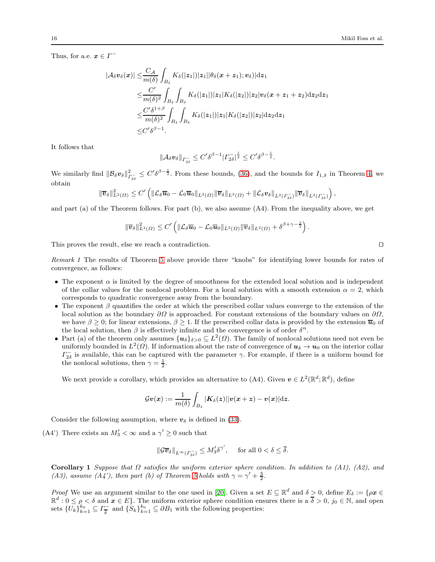Thus, for a.e.  $x \in \Gamma^-$ 

$$
|\mathcal{A}_{\delta}\boldsymbol{v}_{\delta}(\boldsymbol{x})| \leq \frac{C_{\mathcal{A}}}{m(\delta)} \int_{B_{\delta}} K_{\delta}(|z_{1}|) |z_{1}| |\theta_{\delta}(\boldsymbol{x} + \boldsymbol{z}_{1}); \boldsymbol{v}_{\delta}) |dz_{1}
$$
  
\n
$$
\leq \frac{C'}{m(\delta)^{2}} \int_{B_{\delta}} \int_{B_{\delta}} K_{\delta}(|z_{1}|) |z_{1}| K_{\delta}(|z_{2}|) |z_{2}| \boldsymbol{v}_{\delta}(\boldsymbol{x} + \boldsymbol{z}_{1} + \boldsymbol{z}_{2}) dz_{2} dz_{1}
$$
  
\n
$$
\leq \frac{C'\delta^{1+\beta}}{m(\delta)^{2}} \int_{B_{\delta}} \int_{B_{\delta}} K_{\delta}(|z_{1}|) |z_{1}| K_{\delta}(|z_{2}|) |z_{2}| dz_{2} dz_{1}
$$
  
\n
$$
\leq C'\delta^{\beta-1}.
$$

It follows that

$$
\|\mathcal{A}_{\delta}v_{\delta}\|_{\Gamma_{2\delta}^{-}} \leq C' \delta^{\beta-1} |\Gamma_{2\delta}^{-}|^{\frac{1}{2}} \leq C' \delta^{\beta-\frac{1}{2}}.
$$

We similarly find  $\|\mathcal{B}_{\delta}v_{\delta}\|_{\Gamma_{2\delta}}^2 \leq C' \delta^{\beta-\frac{1}{2}}$ . From these bounds, [\(36\)](#page-14-0), and the bounds for  $I_{1,\delta}$  in Theorem [4,](#page-10-4) we obtain

$$
\|\overline{\boldsymbol{v}}_{\delta}\|_{L^2(\Omega)}^2 \leq C' \left( \|\mathcal{L}_{\delta}\overline{\boldsymbol{u}}_0 - \mathcal{L}_0\overline{\boldsymbol{u}}_0\|_{L^2(\Omega)} \|\overline{\boldsymbol{v}}_{\delta}\|_{L^2(\Omega)} + \|\mathcal{L}_{\delta}\boldsymbol{v}_{\delta}\|_{L^2(\Gamma_{2\delta}^-)} \|\overline{\boldsymbol{v}}_{\delta}\|_{L^2(\Gamma_{2\delta}^-)} \right),
$$

and part (a) of the Theorem follows. For part (b), we also assume (A4). From the inequality above, we get

$$
\|\overline{\boldsymbol{v}}_{\delta}\|_{L^2(\Omega)}^2 \leq C' \left( \|\mathcal{L}_{\delta}\overline{\boldsymbol{u}}_0 - \mathcal{L}_0\overline{\boldsymbol{u}}_0\|_{L^2(\Omega)} \|\overline{\boldsymbol{v}}_{\delta}\|_{L^2(\Omega)} + \delta^{\beta + \gamma - \frac{1}{2}} \right).
$$

<span id="page-15-0"></span>This proves the result, else we reach a contradiction. □

Remark 1 The results of Theorem [5](#page-13-0) above provide three "knobs" for identifying lower bounds for rates of convergence, as follows:

- The exponent  $\alpha$  is limited by the degree of smoothness for the extended local solution and is independent of the collar values for the nonlocal problem. For a local solution with a smooth extension  $\alpha = 2$ , which corresponds to quadratic convergence away from the boundary.
- The exponent  $\beta$  quantifies the order at which the prescribed collar values converge to the extension of the local solution as the boundary  $\partial\Omega$  is approached. For constant extensions of the boundary values on  $\partial\Omega$ , we have  $\beta \geq 0$ ; for linear extensions,  $\beta \geq 1$ . If the prescribed collar data is provided by the extension  $\overline{u}_0$  of the local solution, then  $\beta$  is effectively infinite and the convergence is of order  $\delta^{\alpha}$ .
- Part (a) of the theorem only assumes  $\{u_{\delta}\}_{\delta>0}\subseteq L^2(\Omega)$ . The family of nonlocal solutions need not even be uniformly bounded in  $L^2(\Omega)$ . If information about the rate of convergence of  $u_\delta \to u_0$  on the interior collar  $\Gamma_{2\delta}^-$  is available, this can be captured with the parameter  $\gamma$ . For example, if there is a uniform bound for the nonlocal solutions, then  $\gamma = \frac{1}{2}$ .

We next provide a corollary, which provides an alternative to (A4). Given  $v \in L^2(\mathbb{R}^d; \mathbb{R}^d)$ , define

$$
\mathcal{G}\boldsymbol{v}(\boldsymbol{x}):=\frac{1}{m(\delta)}\int_{B_\delta}|\boldsymbol{K}_{\delta}(\boldsymbol{z})||\boldsymbol{v}(\boldsymbol{x}+\boldsymbol{z})-\boldsymbol{v}(\boldsymbol{x})|\mathrm{d}\boldsymbol{z}.
$$

Consider the following assumption, where  $v_{\delta}$  is defined in [\(33\)](#page-14-1).

(A4') There exists an  $M'_3 < \infty$  and a  $\gamma' \geq 0$  such that

$$
\|\mathcal{G} \overline{v}_{\delta}\|_{L^{\infty}(\varGamma^{-}_{2\delta})}\leq M'_{3}\delta^{\gamma'},\quad \ \text{for all }0<\delta\leq \overline{\delta}.
$$

<span id="page-15-1"></span>Corollary 1 Suppose that  $\Omega$  satisfies the uniform exterior sphere condition. In addition to (A1), (A2), and (A3), assume (A4'), then part (b) of Theorem [5](#page-13-0) holds with  $\gamma = \gamma' + \frac{3}{2}$ .

*Proof* We use an argument similar to the one used in [\[20\]](#page-26-7). Given a set  $E \subseteq \mathbb{R}^d$  and  $\delta > 0$ , define  $E_{\delta} := \{ \rho \mathbf{x} \in \mathbb{R}^d : \rho \mathbf{x} \in \mathbb{R}^d \}$  $\mathbb{R}^d: 0 \leq \rho < \delta$  and  $x \in E$ . The uniform exterior sphere condition ensures there is a  $\overline{\delta} > 0$ ,  $j_0 \in \mathbb{N}$ , and open sets  $\{U_k\}_{k=1}^{k_0} \subseteq \Gamma_{\overline{\delta}}^{-}$  $\sum_{\delta}^{k_0}$  and  $\{S_k\}_{k=1}^{k_0} \subseteq \partial B_1$  with the following properties: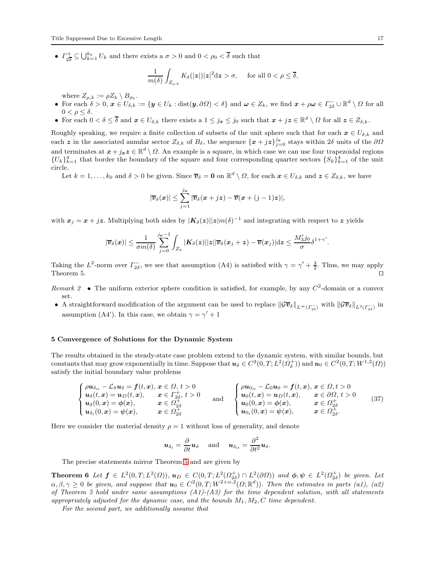$\bullet$   $\Gamma_{23}^+$  $\frac{1}{2\delta} \subseteq \bigcup_{k=1}^{k_0} U_k$  and there exists a  $\sigma > 0$  and  $0 < \rho_0 < \overline{\delta}$  such that

$$
\frac{1}{m(\delta)}\int_{Z_{\rho,k}}K_{\delta}(|\boldsymbol{z}|)|\boldsymbol{z}|^{2}\mathrm{d}\boldsymbol{z} > \sigma, \quad \text{ for all } 0 < \rho \leq \overline{\delta},
$$

where  $Z_{\rho,k} := \rho Z_k \setminus B_{\rho_0}.$ 

- For each  $\delta > 0$ ,  $x \in U_{\delta,k} := \{ y \in U_k : \text{dist}(y, \partial \Omega) < \delta \}$  and  $\omega \in Z_k$ , we find  $x + \rho \omega \in \Gamma_{2\delta}^- \cup \mathbb{R}^d \setminus \Omega$  for all  $0 < \rho \leq \delta$ .
- For each  $0 < \delta \leq \overline{\delta}$  and  $x \in U_{\delta,k}$  there exists a  $1 \leq j_x \leq j_0$  such that  $x + jz \in \mathbb{R}^d \setminus \Omega$  for all  $z \in Z_{\delta,k}$ .

Roughly speaking, we require a finite collection of subsets of the unit sphere such that for each  $x \in U_{\delta,k}$  and each z in the associated annular sector  $Z_{\delta,k}$  of  $B_{\delta}$ , the sequence  $\{x+jz\}_{j=0}^{j_x}$  stays within  $2\delta$  units of the  $\partial\Omega$ and terminates at  $x + j_x z \in \mathbb{R}^d \setminus \Omega$ . An example is a square, in which case we can use four trapezoidal regions  ${U_k}_{k=1}^4$  that border the boundary of the square and four corresponding quarter sectors  ${S_k}_{k=1}^4$  of the unit circle.

Let  $k = 1, \ldots, k_0$  and  $\delta > 0$  be given. Since  $\overline{v}_{\delta} = \mathbf{0}$  on  $\mathbb{R}^d \setminus \Omega$ , for each  $\mathbf{x} \in U_{\delta,k}$  and  $\mathbf{z} \in Z_{\delta,k}$ , we have

$$
|\overline{v}_{\delta}(\boldsymbol{x})| \leq \sum_{j=1}^{j_{\boldsymbol{x}}} |\overline{v}_{\delta}(\boldsymbol{x}+j\boldsymbol{z}) - \overline{v}(\boldsymbol{x}+(j-1)\boldsymbol{z})|,
$$

with  $x_j = x + jz$ . Multiplying both sides by  $|K_\delta(z)||z|m(\delta)^{-1}$  and integrating with respect to z yields

$$
|\overline{v}_{\delta}(x)| \leq \frac{1}{\sigma m(\delta)} \sum_{j=0}^{j_{\bm{x}}-1} \int_{Z_k} |K_{\delta}(z)| |z| |\overline{v}_{\delta}(x_j+z) - \overline{v}(x_j)| \mathrm{d} z \leq \frac{M_3' j_0}{\sigma} \delta^{1+\gamma'}.
$$

Taking the  $L^2$ -norm over  $\Gamma^{-}_{2\delta}$ , we see that assumption (A4) is satisfied with  $\gamma = \gamma' + \frac{3}{2}$ . Thus, we may apply Theorem 5.  $□$ 

- Remark 2 The uniform exterior sphere condition is satisfied, for example, by any  $C^2$ -domain or a convex set.
- A straightforward modification of the argument can be used to replace  $\|\mathcal{G}\overline{v}_{\delta}\|_{L^{\infty}(\Gamma_{2\delta}^{-})}$  with  $\|\mathcal{G}\overline{v}_{\delta}\|_{L^{2}(\Gamma_{2\delta}^{-})}$  in assumption (A4'). In this case, we obtain  $\gamma = \gamma' + 1$

# <span id="page-16-0"></span>5 Convergence of Solutions for the Dynamic System

The results obtained in the steady-state case problem extend to the dynamic system, with similar bounds, but constants that may grow exponentially in time. Suppose that  $u_{\delta} \in C^2(0,T; L^2(\Omega_{\delta}^+))$  and  $u_0 \in C^2(0,T; W^{1,2}(\Omega))$ satisfy the initial boundary value problems

<span id="page-16-1"></span>
$$
\begin{cases}\n\rho u_{\delta_{tt}} - \mathcal{L}_{\delta} u_{\delta} = f(t, x), & x \in \Omega, t > 0 \\
u_{\delta}(t, x) = u_D(t, x), & x \in \Gamma_{2\delta}^+, t > 0 \\
u_{\delta}(0, x) = \phi(x), & x \in \Omega_{2\delta}^+\n\end{cases}\n\quad \text{and} \quad\n\begin{cases}\n\rho u_{0tt} - \mathcal{L}_0 u_0 = f(t, x), & x \in \Omega, t > 0 \\
u_0(t, x) = u_D(t, x), & x \in \partial\Omega, t > 0 \\
u_0(0, x) = \phi(x), & x \in \Omega_{2\delta}^+\n\end{cases}\n\quad (37)
$$
\n
$$
u_{0}(0, x) = \phi(x), \quad x \in \Omega_{2\delta}^+\n\quad (37)
$$

Here we consider the material density  $\rho = 1$  without loss of generality, and denote

<span id="page-16-2"></span>
$$
\boldsymbol{u}_{\delta_t} = \frac{\partial}{\partial t} \boldsymbol{u}_{\delta} \quad \text{ and } \quad \boldsymbol{u}_{\delta_{tt}} = \frac{\partial^2}{\partial t^2} \boldsymbol{u}_{\delta}.
$$

The precise statements mirror Theorem [5](#page-13-0) and are given by

**Theorem 6** Let  $f \in L^2(0,T; L^2(\Omega))$ ,  $u_D \in C(0,T; L^2(\Omega_{2\delta}^+) \cap L^2(\partial\Omega))$  and  $\phi, \psi \in L^2(\Omega_{2\delta}^+)$  be given. Let  $\alpha, \beta, \gamma \geq 0$  be given, and suppose that  $u_0 \in C^2(0,T; W^{2+\alpha,2}(\Omega;\mathbb{R}^d))$ . Then the estimates in parts (a1), (a2) of Theorem 5 hold under same assumptions  $(A1)-(A3)$  for the time dependent solution, with all statements appropriately adjusted for the dynamic case, and the bounds  $M_1, M_2, C$  time dependent.

For the second part, we additionally assume that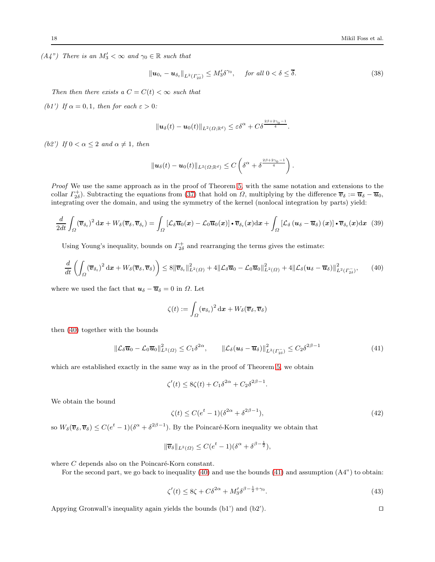$(A4'')$  There is an  $M'_3 < \infty$  and  $\gamma_0 \in \mathbb{R}$  such that

$$
\|\boldsymbol{u}_{0t} - \boldsymbol{u}_{\delta_t}\|_{L^2(\Gamma_{2\delta}^-)} \le M_3'\delta^{\gamma_0}, \quad \text{for all } 0 < \delta \le \overline{\delta}.
$$

Then then there exists a  $C = C(t) < \infty$  such that

(b1') If  $\alpha = 0, 1$ , then for each  $\varepsilon > 0$ :

$$
\|\boldsymbol{u}_{\delta}(t)-\boldsymbol{u}_{0}(t)\|_{L^{2}(\Omega;\mathbb{R}^{d})}\leq \varepsilon\delta^{\alpha}+C\delta^{\frac{2\beta+2\gamma_{0}-1}{4}}.
$$

(b2') If  $0 < \alpha \leq 2$  and  $\alpha \neq 1$ , then

$$
\|\boldsymbol{u}_{\delta}(t)-\boldsymbol{u}_{0}(t)\|_{L^{2}(\Omega;\mathbb{R}^{d})}\leq C\left(\delta^{\alpha}+\delta^{\frac{2\beta+2\gamma_{0}-1}{4}}\right).
$$

Proof We use the same approach as in the proof of Theorem [5,](#page-13-0) with the same notation and extensions to the collar  $\Gamma_{2\delta}^{\dagger}$ . Subtracting the equations from [\(37\)](#page-16-1) that hold on  $\Omega$ , multiplying by the difference  $\overline{v}_{\delta} := \overline{u}_{\delta} - \overline{u}_{0}$ , integrating over the domain, and using the symmetry of the kernel (nonlocal integration by parts) yield:

$$
\frac{d}{2dt} \int_{\Omega} (\overline{v}_{\delta_t})^2 dx + W_{\delta}(\overline{v}_{\delta}, \overline{v}_{\delta_t}) = \int_{\Omega} \left[ \mathcal{L}_{\delta} \overline{u}_0(x) - \mathcal{L}_0 \overline{u}_0(x) \right] \cdot \overline{v}_{\delta_t}(x) dx + \int_{\Omega} \left[ \mathcal{L}_{\delta} \left( u_{\delta} - \overline{u}_{\delta} \right)(x) \right] \cdot \overline{v}_{\delta_t}(x) dx \tag{39}
$$

Using Young's inequality, bounds on  $\Gamma_{2\delta}^+$  and rearranging the terms gives the estimate:

<span id="page-17-0"></span>
$$
\frac{d}{dt}\left(\int_{\Omega}(\overline{\boldsymbol{v}}_{\delta_t})^2\,\mathrm{d}\boldsymbol{x} + W_{\delta}(\overline{\boldsymbol{v}}_{\delta},\overline{\boldsymbol{v}}_{\delta})\right) \leq 8\|\overline{\boldsymbol{v}}_{\delta_t}\|_{L^2(\Omega)}^2 + 4\|\mathcal{L}_{\delta}\overline{\boldsymbol{u}}_0 - \mathcal{L}_0\overline{\boldsymbol{u}}_0\|_{L^2(\Omega)}^2 + 4\|\mathcal{L}_{\delta}(\boldsymbol{u}_{\delta} - \overline{\boldsymbol{u}}_{\delta})\|_{L^2(\Gamma_{2\delta}^{-}}^2),\qquad(40)
$$

where we used the fact that  $u_{\delta} - \overline{u}_{\delta} = 0$  in  $\Omega$ . Let

$$
\zeta(t):=\int_{\varOmega}(\boldsymbol{v}_{\delta_t})^2\,\mathrm{d}\boldsymbol{x}+W_{\delta}(\overline{\boldsymbol{v}}_{\delta},\overline{\boldsymbol{v}}_{\delta})
$$

then [\(40\)](#page-17-0) together with the bounds

<span id="page-17-1"></span>
$$
\|\mathcal{L}_{\delta}\overline{\mathbf{u}}_0 - \mathcal{L}_0\overline{\mathbf{u}}_0\|_{L^2(\Omega)}^2 \le C_1\delta^{2\alpha}, \qquad \|\mathcal{L}_{\delta}(\mathbf{u}_{\delta} - \overline{\mathbf{u}}_{\delta})\|_{L^2(\Gamma_{2\delta})}^2 \le C_2\delta^{2\beta - 1}
$$
\n(41)

which are established exactly in the same way as in the proof of Theorem [5,](#page-13-0) we obtain

$$
\zeta'(t) \le 8\zeta(t) + C_1 \delta^{2\alpha} + C_2 \delta^{2\beta - 1}
$$

We obtain the bound

$$
\zeta(t) \le C(e^t - 1)(\delta^{2\alpha} + \delta^{2\beta - 1}),\tag{42}
$$

.

so  $W_\delta(\overline{v}_\delta, \overline{v}_\delta) \leq C(e^t-1)(\delta^\alpha + \delta^{2\beta-1})$ . By the Poincaré-Korn inequality we obtain that

$$
\|\overline{\boldsymbol{v}}_{\delta}\|_{L^2(\Omega)} \leq C(e^t - 1)(\delta^{\alpha} + \delta^{\beta - \frac{1}{2}}),
$$

where  $C$  depends also on the Poincaré-Korn constant.

For the second part, we go back to inequality [\(40\)](#page-17-0) and use the bounds [\(41\)](#page-17-1) and assumption (A4") to obtain:

$$
\zeta'(t) \le 8\zeta + C\delta^{2\alpha} + M_3'\delta^{\beta - \frac{1}{2} + \gamma_0}.\tag{43}
$$

Appying Gronwall's inequality again yields the bounds  $(b1')$  and  $(b2')$ .

$$
\qquad \qquad \Box
$$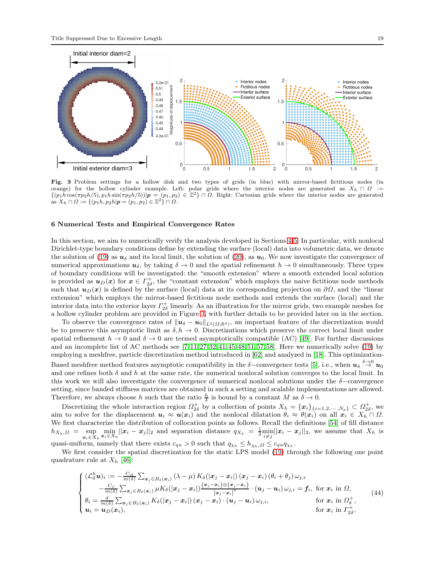

<span id="page-18-1"></span>Fig. 3 Problem settings for a hollow disk and two types of grids (in blue) with mirror-based fictitious nodes (in orange) for the hollow cylinder example. Left: polar grids where the interior nodes are generated as  $X_h \cap \Omega :=$  $\{(p_1\hat{h}\cos(\pi p_2h/5), p_1h\sin(\pi p_2h/5))|\mathbf{p}=(p_1,p_2)\in\mathbb{Z}^2\}\cap\Omega.$  Right: Cartesian grids where the interior nodes are generated as  $X_h \cap \Omega := \{(p_1h, p_2h | \mathbf{p} = (p_1, p_2) \in \mathbb{Z}^2\} \cap \Omega.$ 

# <span id="page-18-0"></span>6 Numerical Tests and Empirical Convergence Rates

In this section, we aim to numerically verify the analysis developed in Sections [4-](#page-7-0)[5.](#page-16-0) In particular, with nonlocal Dirichlet-type boundary conditions define by extending the surface (local) data into volumetric data, we denote the solution of [\(19\)](#page-7-2) as  $u_{\delta}$  and its local limit, the solution of [\(20\)](#page-7-4), as  $u_0$ . We now investigate the convergence of numerical approximations  $u_{\delta}$ , by taking  $\delta \to 0$  and the spatial refinement  $h \to 0$  simultaneously. Three types of boundary conditions will be investigated: the "smooth extension" where a smooth extended local solution is provided as  $u_D(x)$  for  $x \in \Gamma_{2\delta}^+$ , the "constant extension" which employs the naive fictitious node methods such that  $u_D(x)$  is defined by the surface (local) data at its corresponding projection on  $\partial\Omega$ , and the "linear extension" which employs the mirror-based fictitious node methods and extends the surface (local) and the interior data into the exterior layer  $\Gamma_{2\delta}^+$  linearly. As an illustration for the mirror grids, two example meshes for a hollow cylinder problem are provided in Figure [3,](#page-18-1) with further details to be provided later on in the section.

To observe the convergence rates of  $\|\bm{u}_\delta-\bm{u}_0\|_{L^2(\Omega;\mathbb{R}^d)}$ , an important feature of the discretization would be to preserve this asymptotic limit as  $\delta, h \to 0$ . Discretizations which preserve the correct local limit under spatial refinement  $h \to 0$  and  $\delta \to 0$  are termed asymptotically compatible (AC) [\[49\]](#page-26-14). For further discussions and an incomplete list of AC methods see [\[7,](#page-25-11) [11,](#page-25-12) [27,](#page-26-29) [32,](#page-26-30) [41,](#page-26-31) [45,](#page-26-32)[48,](#page-26-19) [51,](#page-26-33) [57,](#page-27-9) [58\]](#page-27-5). Here we numerically solve [\(19\)](#page-7-2) by employing a meshfree, particle discretization method introduced in [\[62\]](#page-27-6) and analyzed in [\[18\]](#page-26-34). This optimization-Based meshfree method features asymptotic compatibility in the  $\delta$ -convergence tests [\[5\]](#page-25-13), i.e., when  $u_{\delta} \stackrel{\delta \to 0}{\to} u_0$ and one refines both  $\delta$  and  $h$  at the same rate, the numerical nonlocal solution converges to the local limit. In this work we will also inverstigate the convergence of numerical nonlocal solutions under the  $\delta$ −convergence setting, since banded stiffness matrices are obtained in such a setting and scalable implementations are allowed. Therefore, we always choose h such that the ratio  $\frac{h}{\delta}$  is bound by a constant M as  $\delta \to 0$ .

Discretizing the whole interaction region  $\Omega_{2\delta}^+$  by a collection of points  $X_h = {\{x_i\}}_{\{i=1,2,\cdots,N_p\}} \subset \Omega_{2\delta}^+$ , we aim to solve for the displacement  $u_i \approx u(x_i)$  and the nonlocal dilatation  $\theta_i \approx \theta(x_i)$  on all  $x_i \in X_h \cap \Omega$ . We first characterize the distribution of collocation points as follows. Recall the definitions [\[54\]](#page-27-10) of fill distance  $h_{X_h,\Omega} = \sup_{x_i \in X_h} \min_{x_i \in X_h} ||x_i - x_j||_2$  and separation distance  $q_{X_h} = \frac{1}{2} \min_{i \neq j} ||x_i - x_j||_2$ , we assume that  $X_h$  is

quasi-uniform, namely that there exists  $c_{qu} > 0$  such that  $q_{\chi_h} \leq h_{\chi_h, \Omega} \leq c_{qu} q_{\chi_h}$ .

We first consider the spatial discretization for the static LPS model [\(19\)](#page-7-2) through the following one point quadrature rule at  $X_h$  [\[46\]](#page-26-35):

<span id="page-18-2"></span>
$$
\begin{cases}\n(\mathcal{L}_{\delta}^{h}\mathbf{u})_{i} := -\frac{C_{A}}{m(\delta)}\sum_{\mathbf{x}_{j}\in B_{\delta}(\mathbf{x}_{i})}(\lambda-\mu)K_{\delta}(|\mathbf{x}_{j}-\mathbf{x}_{i}|)(\mathbf{x}_{j}-\mathbf{x}_{i})\left(\theta_{i}+\theta_{j}\right)\omega_{j,i} \\
-\frac{C_{\beta}}{m(\delta)}\sum_{\mathbf{x}_{j}\in B_{\delta}(\mathbf{x}_{i})}\mu K_{\delta}(|\mathbf{x}_{j}-\mathbf{x}_{i}|)\frac{(\mathbf{x}_{j}-\mathbf{x}_{i})\otimes(\mathbf{x}_{j}-\mathbf{x}_{i})}{|\mathbf{x}_{j}-\mathbf{x}_{i}|^{2}}\cdot(\mathbf{u}_{j}-\mathbf{u}_{i})\omega_{j,i} = \mathbf{f}_{i}, \text{ for } \mathbf{x}_{i} \text{ in } \Omega, \\
\theta_{i} = \frac{d}{m(\delta)}\sum_{\mathbf{x}_{j}\in B_{\delta}(\mathbf{x}_{i})}K_{\delta}(|\mathbf{x}_{j}-\mathbf{x}_{i}|)(\mathbf{x}_{j}-\mathbf{x}_{i})\cdot(\mathbf{u}_{j}-\mathbf{u}_{i})\omega_{j,i}, \quad \text{for } \mathbf{x}_{i} \text{ in } \Omega_{\delta}^{+}, \\
\mathbf{u}_{i} = \mathbf{u}_{D}(\mathbf{x}_{i}), \quad \text{for } \mathbf{x}_{i} \text{ in } \Gamma_{2\delta}^{+},\n\end{cases} (44)
$$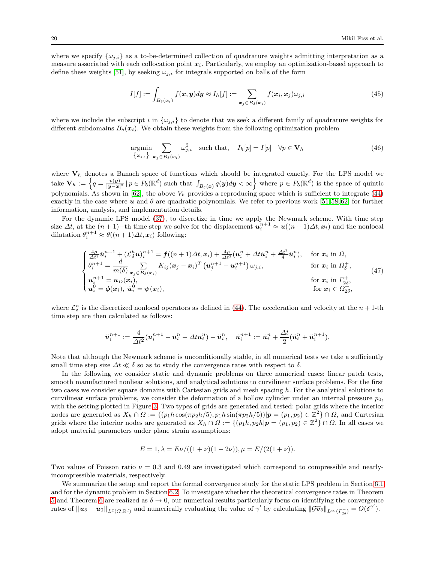where we specify  $\{\omega_{j,i}\}\)$  as a to-be-determined collection of quadrature weights admitting interpretation as a measure associated with each collocation point  $x_i$ . Particularly, we employ an optimization-based approach to define these weights [\[51\]](#page-26-33), by seeking  $\omega_{j,i}$  for integrals supported on balls of the form

$$
I[f] := \int_{B_{\delta}(\boldsymbol{x}_i)} f(\boldsymbol{x}, \boldsymbol{y}) d\boldsymbol{y} \approx I_h[f] := \sum_{\boldsymbol{x}_j \in B_{\delta}(\boldsymbol{x}_i)} f(\boldsymbol{x}_i, \boldsymbol{x}_j) \omega_{j,i}
$$
(45)

where we include the subscript i in  $\{\omega_{j,i}\}$  to denote that we seek a different family of quadrature weights for different subdomains  $B_\delta(\mathbf{x}_i)$ . We obtain these weights from the following optimization problem

$$
\underset{\{\omega_{j,i}\}}{\text{argmin}} \sum_{\mathbf{x}_j \in B_{\delta}(\mathbf{x}_i)} \omega_{j,i}^2 \quad \text{such that,} \quad I_h[p] = I[p] \quad \forall p \in \mathbf{V}_h \tag{46}
$$

where  $V_h$  denotes a Banach space of functions which should be integrated exactly. For the LPS model we  $\mathbf{U}_h := \left\{ q = \frac{p(\mathbf{y})}{|\mathbf{y}-\mathbf{x}|^3} \, | \, p \in P_5(\mathbb{R}^d) \text{ such that } \int_{B_\delta(\mathbf{x})} q(\mathbf{y}) d\mathbf{y} < \infty \right\} \text{ where } p \in P_5(\mathbb{R}^d) \text{ is the space of quintic.}$ polynomials. As shown in [\[62\]](#page-27-6), the above  $V_h$  provides a reproducing space which is sufficient to integrate [\(44\)](#page-18-2) exactly in the case where  $u$  and  $\theta$  are quadratic polynomials. We refer to previous work [\[51,](#page-26-33)58,62] for further information, analysis, and implementation details.

For the dynamic LPS model [\(37\)](#page-16-1), to discretize in time we apply the Newmark scheme. With time step size  $\Delta t$ , at the  $(n+1)$ -th time step we solve for the displacement  $u_i^{n+1} \approx u((n+1)\Delta t, x_i)$  and the nonlocal dilatation  $\theta_i^{n+1} \approx \theta((n+1)\Delta t, x_i)$  following:

$$
\begin{cases}\n\frac{4\rho}{\Delta t^2} \ddot{\mathbf{u}}_i^{n+1} + (\mathcal{L}_{\delta}^h \mathbf{u})_i^{n+1} = f((n+1)\Delta t, x_i) + \frac{4\rho}{\Delta t^2} (\mathbf{u}_i^n + \Delta t \dot{\mathbf{u}}_i^n + \frac{\Delta t^2}{4} \ddot{\mathbf{u}}_i^n), & \text{for } x_i \text{ in } \Omega, \\
\theta_i^{n+1} = \frac{d}{m(\delta)} \sum_{\mathbf{x}_j \in B_{\delta}(\mathbf{x}_i)} K_{ij} (\mathbf{x}_j - \mathbf{x}_i)^T (\mathbf{u}_j^{n+1} - \mathbf{u}_i^{n+1}) \omega_{j,i}, & \text{for } x_i \text{ in } \Omega_{\delta}^+, \\
\mathbf{u}_i^{n+1} = \mathbf{u}_D(\mathbf{x}_i), & \text{for } \mathbf{x}_i \text{ in } \Gamma_{2\delta}^+, \\
\mathbf{u}_i^0 = \phi(\mathbf{x}_i), \ \dot{\mathbf{u}}_i^0 = \psi(\mathbf{x}_i), & \text{for } \mathbf{x}_i \in \Omega_{2\delta}^+, \\
\end{cases}
$$
\n(47)

where  $\mathcal{L}_{\delta}^{h}$  is the discretized nonlocal operators as defined in [\(44\)](#page-18-2). The acceleration and velocity at the  $n+1$ -th time step are then calculated as follows:

$$
\ddot{\bm{u}}_i^{n+1}:=\frac{4}{\Delta t^2}(\bm{u}_i^{n+1}-\bm{u}_i^{n}-\Delta t \bm{u}_i^{n})-\ddot{\bm{u}}_i^{n},\quad \dot{\bm{u}}_i^{n+1}:=\dot{\bm{u}}_i^{n}+\frac{\Delta t}{2}(\ddot{\bm{u}}_i^{n}+\ddot{\bm{u}}_i^{n+1}).
$$

Note that although the Newmark scheme is unconditionally stable, in all numerical tests we take a sufficiently small time step size  $\Delta t \ll \delta$  so as to study the convergence rates with respect to  $\delta$ .

In the following we consider static and dynamic problems on three numerical cases: linear patch tests, smooth manufactured nonliear solutions, and analytical solutions to curvilinear surface problems. For the first two cases we consider square domains with Cartesian grids and mesh spacing h. For the analytical solutions to curvilinear surface problems, we consider the deformation of a hollow cylinder under an internal pressure  $p_0$ , with the setting plotted in Figure [3.](#page-18-1) Two types of grids are generated and tested: polar grids where the interior nodes are generated as  $X_h \cap \Omega := \{(p_1h\cos(\pi p_2h/5), p_1h\sin(\pi p_2h/5))|\mathbf{p} = (p_1, p_2) \in \mathbb{Z}^2\} \cap \Omega$ , and Cartesian grids where the interior nodes are generated as  $X_h \cap \Omega := \{(p_1h, p_2h | \mathbf{p} = (p_1, p_2) \in \mathbb{Z}^2\} \cap \Omega$ . In all cases we adopt material parameters under plane strain assumptions:

$$
E = 1, \lambda = E\nu/((1 + \nu)(1 - 2\nu)), \mu = E/(2(1 + \nu)).
$$

Two values of Poisson ratio  $\nu = 0.3$  and 0.49 are investigated which correspond to compressible and nearlyincompressible materials, respectively.

We summarize the setup and report the formal convergence study for the static LPS problem in Section [6.1](#page-20-0) and for the dynamic problem in Section [6.2.](#page-22-0) To investigate whether the theoretical convergence rates in Theorem [5](#page-13-0) and Theorem [6](#page-16-2) are realized as  $\delta \to 0$ , our numerical results particularly focus on identifying the convergence rates of  $||u_{\delta} - u_0||_{L^2(\Omega;\mathbb{R}^d)}$  and numerically evaluating the value of  $\gamma'$  by calculating  $||\mathcal{G}\overline{v}_{\delta}||_{L^{\infty}(\Gamma_{2\delta}^{-})} = O(\delta^{\gamma'})$ .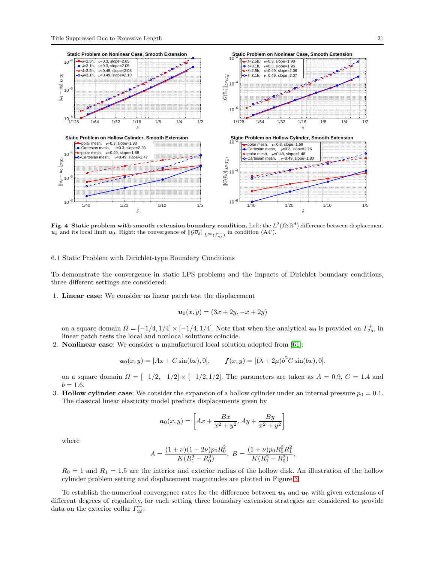

<span id="page-20-1"></span>Fig. 4 Static problem with smooth extension boundary condition. Left: the  $L^2(\Omega;\mathbb{R}^d)$  difference between displacement  $u_{\delta}$  and its local limit  $u_0$ . Right: the convergence of  $\|\mathcal{G}\overline{v}_{\delta}\|_{L^{\infty}(F_{2\delta}^-)}$  in condition (A4').

<span id="page-20-0"></span>6.1 Static Problem with Dirichlet-type Boundary Conditions

To demonstrate the convergence in static LPS problems and the impacts of Dirichlet boundary conditions, three different settings are considered:

1. Linear case: We consider as linear patch test the displacement

$$
u_0(x, y) = (3x + 2y, -x + 2y)
$$

on a square domain  $\Omega = [-1/4, 1/4] \times [-1/4, 1/4]$ . Note that when the analytical  $u_0$  is provided on  $\Gamma^+_{2\delta}$ , in linear patch tests the local and nonlocal solutions coincide.

2. Nonlinear case: We consider a manufactured local solution adopted from [\[61\]](#page-27-11):

$$
\mathbf{u}_0(x,y) = [Ax + C\sin(bx), 0], \qquad \mathbf{f}(x,y) = [(\lambda + 2\mu)b^2C\sin(bx), 0].
$$

on a square domain  $\Omega = \left[-\frac{1}{2}, -\frac{1}{2}\right] \times \left[-\frac{1}{2}, \frac{1}{2}\right]$ . The parameters are taken as  $A = 0.9, C = 1.4$  and  $b = 1.6$ .

3. Hollow cylinder case: We consider the expansion of a hollow cylinder under an internal pressure  $p_0 = 0.1$ . The classical linear elasticity model predicts displacements given by

$$
\mathbf{u}_0(x,y) = \left[ Ax + \frac{Bx}{x^2 + y^2}, Ay + \frac{By}{x^2 + y^2} \right]
$$

where

$$
A = \frac{(1+\nu)(1-2\nu)p_0R_0^2}{K(R_1^2 - R_0^2)}, \ B = \frac{(1+\nu)p_0R_0^2R_1^2}{K(R_1^2 - R_0^2)},
$$

 $R_0 = 1$  and  $R_1 = 1.5$  are the interior and exterior radius of the hollow disk. An illustration of the hollow cylinder problem setting and displacement magnitudes are plotted in Figure [3.](#page-18-1)

To establish the numerical convergence rates for the difference between  $u_{\delta}$  and  $u_0$  with given extensions of different degrees of regularity, for each setting three boundary extension strategies are considered to provide data on the exterior collar  $\Gamma_{2\delta}^+$ :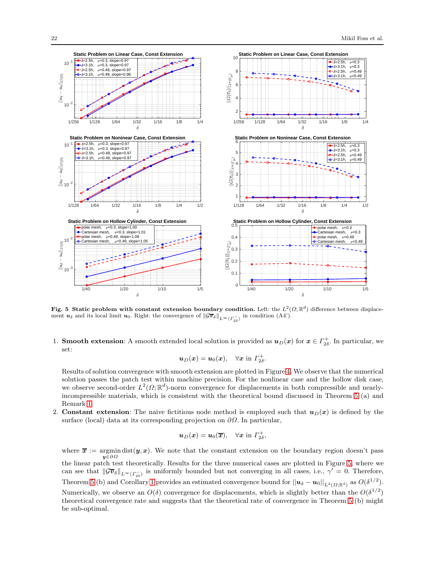

<span id="page-21-0"></span>Fig. 5 Static problem with constant extension boundary condition. Left: the  $L^2(\Omega;\mathbb{R}^d)$  difference between displacement  $u_{\delta}$  and its local limit  $u_0$ . Right: the convergence of  $\|\mathcal{G}\overline{v}_{\delta}\|_{L^{\infty}(r_{2\delta}^-)}$  in condition (A4').

1. **Smooth extension**: A smooth extended local solution is provided as  $u_D(x)$  for  $x \in \Gamma_{2\delta}^+$ . In particular, we set:

$$
\boldsymbol{u}_D(\boldsymbol{x}) = \boldsymbol{u}_0(\boldsymbol{x}), \quad \forall \boldsymbol{x} \text{ in } \boldsymbol{\varGamma}_{2\delta}^+.
$$

Results of solution convergence with smooth extension are plotted in Figure [4.](#page-20-1) We observe that the numerical solution passes the patch test within machine precision. For the nonlinear case and the hollow disk case, we observe second-order  $L^2(\Omega;\mathbb{R}^d)$ -norm convergence for displacements in both compressible and nearlyincompressible materials, which is consistent with the theoretical bound discussed in Theorem [5](#page-13-0) (a) and Remark [1.](#page-15-0)

2. Constant extension: The naive fictitious node method is employed such that  $u_D(x)$  is defined by the surface (local) data at its corresponding projection on  $\partial\Omega$ . In particular,

$$
\boldsymbol{u}_D(\boldsymbol{x}) = \boldsymbol{u}_0(\overline{\boldsymbol{x}}), \quad \forall \boldsymbol{x} \text{ in } \Gamma_{2\delta}^+
$$

,

where  $\bar{x}$  := argmindist $(y, x)$ . We note that the constant extension on the boundary region doesn't pass y∈∂Ω the linear patch test theoretically. Results for the three numerical cases are plotted in Figure [5,](#page-21-0) where we can see that  $\|\mathcal{G}\overline{v}_{\delta}\|_{L^{\infty}(F_{2\delta}^{-})}$  is uniformly bounded but not converging in all cases, i.e.,  $\gamma' = 0$ . Therefore, Theorem [5](#page-13-0) (b) and Corollary [1](#page-15-1) provides an estimated convergence bound for  $||u_{\delta} - u_0||_{L^2(\Omega;\mathbb{R}^d)}$  as  $O(\delta^{1/2})$ . Numerically, we observe an  $O(\delta)$  convergence for displacements, which is slightly better than the  $O(\delta^{1/2})$ theoretical convergence rate and suggests that the theoretical rate of convergence in Theorem [5](#page-13-0) (b) might be sub-optimal.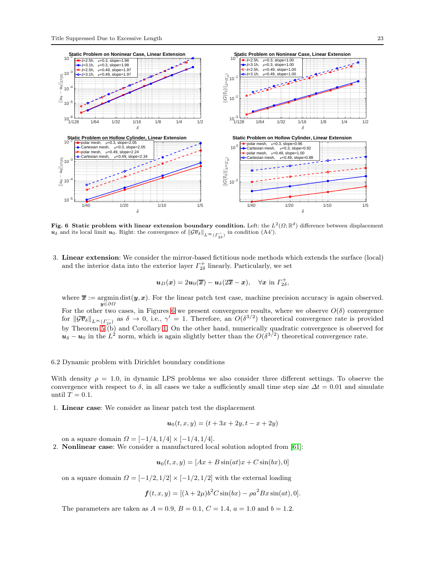

<span id="page-22-1"></span>Fig. 6 Static problem with linear extension boundary condition. Left: the  $L^2(\Omega;\mathbb{R}^d)$  difference between displacement  $u_\delta$  and its local limit  $u_0$ . Right: the convergence of  $\|\mathcal{G}\overline{v}_\delta\|_{L^\infty(\Gamma_{2\delta}^-)}$  in condition (A4').

3. Linear extension: We consider the mirror-based fictitious node methods which extends the surface (local) and the interior data into the exterior layer  $\Gamma_{2\delta}^+$  linearly. Particularly, we set

$$
\boldsymbol{u}_D(\boldsymbol{x})=2\boldsymbol{u}_0(\overline{\boldsymbol{x}})-\boldsymbol{u}_\delta(2\overline{\boldsymbol{x}}-\boldsymbol{x}),\quad \forall \boldsymbol{x} \text{ in } \Gamma_{2\delta}^+,
$$

where  $\bar{x}$  := argmin dist $(y, x)$ . For the linear patch test case, machine precision accuracy is again observed.  $y\bar{\in}\partial\varOmega$ 

For the other two cases, in Figures [6](#page-22-1) we present convergence results, where we observe  $O(\delta)$  convergence for  $\|\mathcal{G}\overline{\bm{v}}_{\delta}\|_{L^{\infty}(\Gamma_{2\delta}^{-}}$  as  $\delta \to 0$ , i.e.,  $\gamma' = 1$ . Therefore, an  $O(\delta^{3/2})$  theoretical convergence rate is provided by Theorem [5](#page-13-0) (b) and Corollary [1.](#page-15-1) On the other hand, numerically quadratic convergence is observed for  $u_{\delta} - u_0$  in the  $L^2$  norm, which is again slightly better than the  $O(\delta^{3/2})$  theoretical convergence rate.

# <span id="page-22-0"></span>6.2 Dynamic problem with Dirichlet boundary conditions

With density  $\rho = 1.0$ , in dynamic LPS problems we also consider three different settings. To observe the convergence with respect to  $\delta$ , in all cases we take a sufficiently small time step size  $\Delta t = 0.01$  and simulate until  $T = 0.1$ .

1. Linear case: We consider as linear patch test the displacement

$$
u_0(t, x, y) = (t + 3x + 2y, t - x + 2y)
$$

on a square domain  $\Omega = [-1/4, 1/4] \times [-1/4, 1/4]$ .

2. Nonlinear case: We consider a manufactured local solution adopted from [\[61\]](#page-27-11):

$$
\mathbf{u}_0(t,x,y) = [Ax + B\sin(at)x + C\sin(bx), 0]
$$

on a square domain  $\Omega = \left[-\frac{1}{2}, \frac{1}{2}\right] \times \left[-\frac{1}{2}, \frac{1}{2}\right]$  with the external loading

$$
f(t, x, y) = [(\lambda + 2\mu)b^2 C \sin(bx) - \rho a^2 Bx \sin(at), 0].
$$

The parameters are taken as  $A = 0.9$ ,  $B = 0.1$ ,  $C = 1.4$ ,  $a = 1.0$  and  $b = 1.2$ .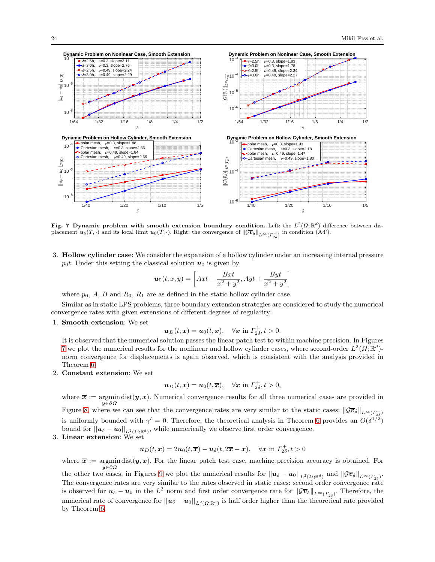

<span id="page-23-0"></span>Fig. 7 Dynamic problem with smooth extension boundary condition. Left: the  $L^2(\Omega;\mathbb{R}^d)$  difference between displacement  $u_{\delta}(T, \cdot)$  and its local limit  $u_0(T, \cdot)$ . Right: the convergence of  $\|\mathcal{G} \overline{v}_{\delta}\|_{L^{\infty}(L_{2\delta}^{-})}$  in condition (A4').

3. Hollow cylinder case: We consider the expansion of a hollow cylinder under an increasing internal pressure  $p_0t$ . Under this setting the classical solution  $u_0$  is given by

$$
\boldsymbol{u}_0(t,x,y) = \left[ Axt + \frac{Bxt}{x^2 + y^2}, Ayt + \frac{Byt}{x^2 + y^2} \right]
$$

where  $p_0$ , A, B and  $R_0$ ,  $R_1$  are as defined in the static hollow cylinder case.

Similar as in static LPS problems, three boundary extension strategies are considered to study the numerical convergence rates with given extensions of different degrees of regularity:

#### 1. Smooth extension: We set

 $u_D(t, x) = u_0(t, x), \quad \forall x \text{ in } \Gamma_{2\delta}^+, t > 0.$ 

It is observed that the numerical solution passes the linear patch test to within machine precision. In Figures [7](#page-23-0) we plot the numerical results for the nonlinear and hollow cylinder cases, where second-order  $L^2(\Omega;\mathbb{R}^d)$ norm convergence for displacements is again observed, which is consistent with the analysis provided in Theorem [6.](#page-16-2)

2. Constant extension: We set

$$
\boldsymbol{u}_D(t,\boldsymbol{x}) = \boldsymbol{u}_0(t,\overline{\boldsymbol{x}}), \quad \forall \boldsymbol{x} \text{ in } \Gamma_{2\delta}^+, t > 0,
$$

where  $\bar{x}$  := argmin dist $(y, x)$ . Numerical convergence results for all three numerical cases are provided in y∈∂Ω

Figure [8,](#page-24-1) where we can see that the convergence rates are very similar to the static cases:  $\|\mathcal{G}\overline{v}_{\delta}\|_{L^{\infty}(\Gamma_{2\delta}^{-})}$ is uniformly bounded with  $\gamma' = 0$ . Therefore, the theoretical analysis in Theorem [6](#page-16-2) provides an  $O(\delta^{1/2})$ bound for  $||u_\delta - u_0||_{L^2(\Omega;\mathbb{R}^d)}$ , while numerically we observe first order convergence.

3. Linear extension: We set

$$
\mathbf{u}_D(t,\mathbf{x})=2\mathbf{u}_0(t,\overline{\mathbf{x}})-\mathbf{u}_\delta(t,2\overline{\mathbf{x}}-\mathbf{x}),\quad \forall \mathbf{x}\text{ in } \Gamma_{2\delta}^+, t>0
$$

where  $\bar{x}$  := argmin dist $(y, x)$ . For the linear patch test case, machine precision accuracy is obtained. For y∈∂Ω

the other two cases, in Figures [9](#page-25-14) we plot the numerical results for  $||u_{\delta} - u_0||_{L^2(\Omega;\mathbb{R}^d)}$  and  $||\mathcal{G}\overline{v}_{\delta}||_{L^{\infty}(\Gamma_{2\delta}^{-})}$ . The convergence rates are very similar to the rates observed in static cases: second order convergence rate is observed for  $u_{\delta} - u_0$  in the  $L^2$  norm and first order convergence rate for  $\|\mathcal{G}\overline{v}_{\delta}\|_{L^{\infty}(\Gamma_{2\delta}^-)}$ . Therefore, the numerical rate of convergence for  $||u_\delta - u_0||_{L^2(\Omega;\mathbb{R}^d)}$  is half order higher than the theoretical rate provided by Theorem [6.](#page-16-2)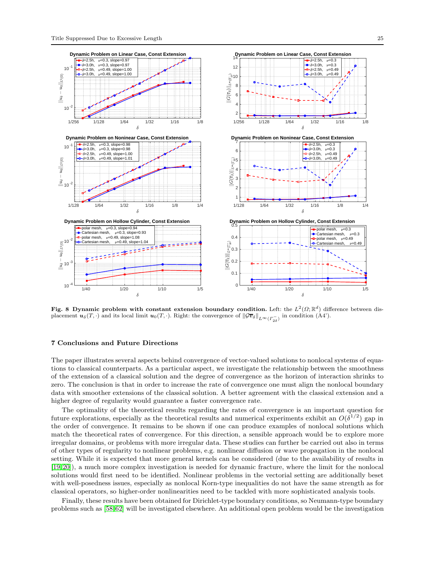

<span id="page-24-1"></span>Fig. 8 Dynamic problem with constant extension boundary condition. Left: the  $L^2(\Omega;\mathbb{R}^d)$  difference between displacement  $u_{\delta}(T, \cdot)$  and its local limit  $u_0(T, \cdot)$ . Right: the convergence of  $\|\mathcal{G} \overline{v}_{\delta}\|_{L^{\infty}(L_{2\delta}^{-})}$  in condition (A4').

## <span id="page-24-0"></span>7 Conclusions and Future Directions

The paper illustrates several aspects behind convergence of vector-valued solutions to nonlocal systems of equations to classical counterparts. As a particular aspect, we investigate the relationship between the smoothness of the extension of a classical solution and the degree of convergence as the horizon of interaction shrinks to zero. The conclusion is that in order to increase the rate of convergence one must align the nonlocal boundary data with smoother extensions of the classical solution. A better agreement with the classical extension and a higher degree of regularity would guarantee a faster convergence rate.

The optimality of the theoretical results regarding the rates of convergence is an important question for future explorations, especially as the theoretical results and numerical experiments exhibit an  $O(\delta^{1/2})$  gap in the order of convergence. It remains to be shown if one can produce examples of nonlocal solutions which match the theoretical rates of convergence. For this direction, a sensible approach would be to explore more irregular domains, or problems with more irregular data. These studies can further be carried out also in terms of other types of regularity to nonlinear problems, e.g. nonlinear diffusion or wave propagation in the nonlocal setting. While it is expected that more general kernels can be considered (due to the availability of results in [\[19,](#page-26-36) [20\]](#page-26-7)), a much more complex investigation is needed for dynamic fracture, where the limit for the nonlocal solutions would first need to be identified. Nonlinear problems in the vectorial setting are additionally beset with well-posedness issues, especially as nonlocal Korn-type inequalities do not have the same strength as for classical operators, so higher-order nonlinearities need to be tackled with more sophisticated analysis tools.

Finally, these results have been obtained for Dirichlet-type boundary conditions, so Neumann-type boundary problems such as [\[58,](#page-27-5) [62\]](#page-27-6) will be investigated elsewhere. An additional open problem would be the investigation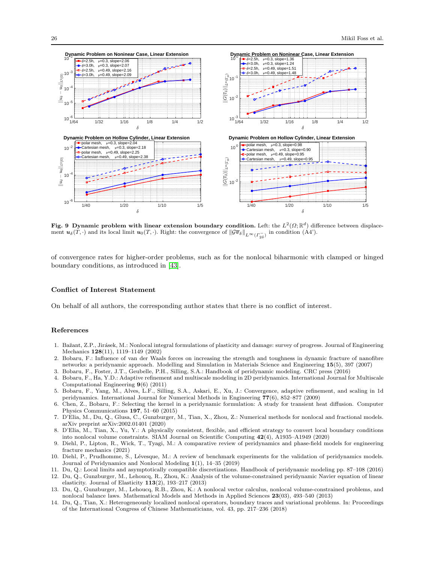

<span id="page-25-14"></span>Fig. 9 Dynamic problem with linear extension boundary condition. Left: the  $L^2(\Omega;\mathbb{R}^d)$  difference between displacement  $u_{\delta}(T, \cdot)$  and its local limit  $u_0(T, \cdot)$ . Right: the convergence of  $\|\mathcal{G} \overline{v}_{\delta}\|_{L^{\infty}(L_{2\delta}^{-})}$  in condition (A4').

of convergence rates for higher-order problems, such as for the nonlocal biharmonic with clamped or hinged boundary conditions, as introduced in [\[43\]](#page-26-20).

#### Conflict of Interest Statement

On behalf of all authors, the corresponding author states that there is no conflict of interest.

# References

- <span id="page-25-1"></span>1. Bažant, Z.P., Jirásek, M.: Nonlocal integral formulations of plasticity and damage: survey of progress. Journal of Engineering Mechanics 128(11), 1119–1149 (2002)
- <span id="page-25-0"></span>2. Bobaru, F.: Influence of van der Waals forces on increasing the strength and toughness in dynamic fracture of nanofibre networks: a peridynamic approach. Modelling and Simulation in Materials Science and Engineering 15(5), 397 (2007)
- <span id="page-25-10"></span><span id="page-25-9"></span>3. Bobaru, F., Foster, J.T., Geubelle, P.H., Silling, S.A.: Handbook of peridynamic modeling. CRC press (2016)
- 4. Bobaru, F., Ha, Y.D.: Adaptive refinement and multiscale modeling in 2D peridynamics. International Journal for Multiscale Computational Engineering 9(6) (2011)
- <span id="page-25-13"></span>5. Bobaru, F., Yang, M., Alves, L.F., Silling, S.A., Askari, E., Xu, J.: Convergence, adaptive refinement, and scaling in 1d peridynamics. International Journal for Numerical Methods in Engineering 77(6), 852–877 (2009)
- <span id="page-25-8"></span>6. Chen, Z., Bobaru, F.: Selecting the kernel in a peridynamic formulation: A study for transient heat diffusion. Computer Physics Communications 197, 51–60 (2015)
- <span id="page-25-11"></span>7. D'Elia, M., Du, Q., Glusa, C., Gunzburger, M., Tian, X., Zhou, Z.: Numerical methods for nonlocal and fractional models. arXiv preprint arXiv:2002.01401 (2020)
- <span id="page-25-6"></span>8. D'Elia, M., Tian, X., Yu, Y.: A physically consistent, flexible, and efficient strategy to convert local boundary conditions into nonlocal volume constraints. SIAM Journal on Scientific Computing 42(4), A1935–A1949 (2020)
- <span id="page-25-2"></span>9. Diehl, P., Lipton, R., Wick, T., Tyagi, M.: A comparative review of peridynamics and phase-field models for engineering fracture mechanics (2021)
- <span id="page-25-3"></span>10. Diehl, P., Prudhomme, S., Lévesque, M.: A review of benchmark experiments for the validation of peridynamics models. Journal of Peridynamics and Nonlocal Modeling 1(1), 14–35 (2019)
- <span id="page-25-12"></span><span id="page-25-5"></span>11. Du, Q.: Local limits and asymptotically compatible discretizations. Handbook of peridynamic modeling pp. 87–108 (2016)
- 12. Du, Q., Gunzburger, M., Lehoucq, R., Zhou, K.: Analysis of the volume-constrained peridynamic Navier equation of linear elasticity. Journal of Elasticity  $113(2)$ , 193-217 (2013)
- <span id="page-25-4"></span>13. Du, Q., Gunzburger, M., Lehoucq, R.B., Zhou, K.: A nonlocal vector calculus, nonlocal volume-constrained problems, and nonlocal balance laws. Mathematical Models and Methods in Applied Sciences 23(03), 493–540 (2013)
- <span id="page-25-7"></span>14. Du, Q., Tian, X.: Heterogeneously localized nonlocal operators, boundary traces and variational problems. In: Proceedings of the International Congress of Chinese Mathematicians, vol. 43, pp. 217–236 (2018)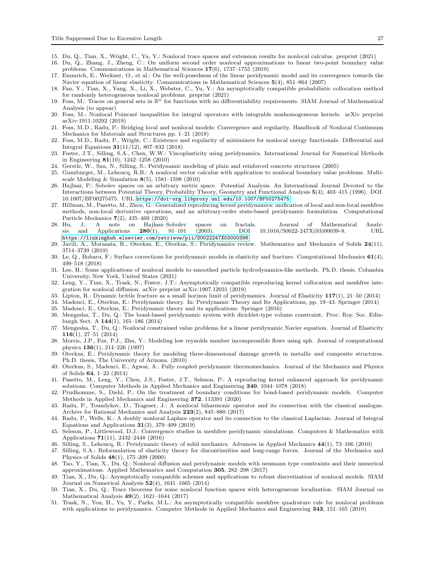- <span id="page-26-17"></span><span id="page-26-15"></span>15. Du, Q., Tian, X., Wright, C., Yu, Y.: Nonlocal trace spaces and extension results for nonlocal calculus. preprint (2021)
- 16. Du, Q., Zhang, J., Zheng, C.: On uniform second order nonlocal approximations to linear two-point boundary value problems. Communications in Mathematical Sciences 17(6), 1737–1755 (2019)
- <span id="page-26-26"></span>17. Emmrich, E., Weckner, O., et al.: On the well-posedness of the linear peridynamic model and its convergence towards the Navier equation of linear elasticity. Communications in Mathematical Sciences 5(4), 851–864 (2007)
- <span id="page-26-34"></span>18. Fan, Y., Tian, X., Yang, X., Li, X., Webster, C., Yu, Y.: An asymptotically compatible probabilistic collocation method for randomly heterogeneous nonlocal problems. preprint (2021)
- <span id="page-26-36"></span>19. Foss, M.: Traces on general sets in  $\mathbb{R}^n$  for functions with no differentiability requirements. SIAM Journal of Mathematical Analysis (to appear)
- <span id="page-26-7"></span>20. Foss, M.: Nonlocal Poincaré inequalities for integral operators with integrable nonhomogeneous kernels. arXiv preprint arXiv:1911.10292 (2019)
- <span id="page-26-8"></span>21. Foss, M.D., Radu, P.: Bridging local and nonlocal models: Convergence and regularity. Handbook of Nonlocal Continuum Mechanics for Materials and Structures pp. 1–21 (2018)
- <span id="page-26-9"></span>22. Foss, M.D., Radu, P., Wright, C.: Existence and regularity of minimizers for nonlocal energy functionals. Differential and Integral Equations 31(11/12), 807–832 (2018)
- <span id="page-26-1"></span>23. Foster, J.T., Silling, S.A., Chen, W.W.: Viscoplasticity using peridynamics. International Journal for Numerical Methods in Engineering 81(10), 1242–1258 (2010)
- <span id="page-26-16"></span><span id="page-26-2"></span>24. Gerstle, W., Sau, N., Silling, S.: Peridynamic modeling of plain and reinforced concrete structures (2005)
- 25. Gunzburger, M., Lehoucq, R.B.: A nonlocal vector calculus with application to nonlocal boundary value problems. Multiscale Modeling & Simulation  $8(5)$ , 1581-1598 (2010)
- <span id="page-26-27"></span>26. Haj lasz, P.: Sobolev spaces on an arbitrary metric space. Potential Analysis. An International Journal Devoted to the Interactions between Potential Theory, Probability Theory, Geometry and Functional Analysis 5(4), 403–415 (1996). DOI 10.1007/BF00275475. URL <https://doi-org.libproxy.unl.edu/10.1007/BF00275475>
- <span id="page-26-29"></span>27. Hillman, M., Pasetto, M., Zhou, G.: Generalized reproducing kernel peridynamics: unification of local and non-local meshfree methods, non-local derivative operations, and an arbitrary-order state-based peridynamic formulation. Computational Particle Mechanics 7(2), 435–469 (2020)
- <span id="page-26-28"></span>28. Hu, J.: A note on Hajlasz–Sobolev spaces on fractals. Journal of Mathematical Analysis and Applications 280(1), 91–101 (2003). DOI 10.1016/S0022-247X(03)00039-8. URL <https://linkinghub.elsevier.com/retrieve/pii/S0022247X03000398>
- <span id="page-26-6"></span>29. Javili, A., Morasata, R., Oterkus, E., Oterkus, S.: Peridynamics review. Mathematics and Mechanics of Solids 24(11), 3714–3739 (2019)
- <span id="page-26-23"></span>30. Le, Q., Bobaru, F.: Surface corrections for peridynamic models in elasticity and fracture. Computational Mechanics  $61(4)$ , 499–518 (2018)
- <span id="page-26-18"></span>31. Lee, H.: Some applications of nonlocal models to smoothed particle hydrodynamics-like methods. Ph.D. thesis, Columbia University, New York, United States (2021)
- <span id="page-26-30"></span>32. Leng, Y., Tian, X., Trask, N., Foster, J.T.: Asymptotically compatible reproducing kernel collocation and meshfree integration for nonlocal diffusion. arXiv preprint arXiv:1907.12031 (2019)
- <span id="page-26-10"></span><span id="page-26-3"></span>33. Lipton, R.: Dynamic brittle fracture as a small horizon limit of peridynamics. Journal of Elasticity 117(1), 21–50 (2014)
- <span id="page-26-4"></span>34. Madenci, E., Oterkus, E.: Peridynamic theory. In: Peridynamic Theory and Its Applications, pp. 19–43. Springer (2014)
- <span id="page-26-11"></span>35. Madenci, E., Oterkus, E.: Peridynamic theory and its applications. Springer (2016)
- 36. Mengesha, T., Du, Q.: The bond-based peridynamic system with dirichlet-type volume constraint. Proc. Roy. Soc. Edinburgh Sect. A 144(1), 161–186 (2014)
- <span id="page-26-12"></span>37. Mengesha, T., Du, Q.: Nonlocal constrained value problems for a linear peridynamic Navier equation. Journal of Elasticity 116(1), 27–51 (2014)
- <span id="page-26-22"></span>38. Morris, J.P., Fox, P.J., Zhu, Y.: Modeling low reynolds number incompressible flows using sph. Journal of computational physics 136(1), 214–226 (1997)
- <span id="page-26-5"></span>39. Oterkus, E.: Peridynamic theory for modeling three-dimensional damage growth in metallic and composite structures. Ph.D. thesis, The University of Arizona. (2010)
- <span id="page-26-24"></span>40. Oterkus, S., Madenci, E., Agwai, A.: Fully coupled peridynamic thermomechanics. Journal of the Mechanics and Physics of Solids 64, 1–23 (2014)
- <span id="page-26-31"></span>41. Pasetto, M., Leng, Y., Chen, J.S., Foster, J.T., Seleson, P.: A reproducing kernel enhanced approach for peridynamic solutions. Computer Methods in Applied Mechanics and Engineering 340, 1044–1078 (2018)
- <span id="page-26-25"></span>42. Prudhomme, S., Diehl, P.: On the treatment of boundary conditions for bond-based peridynamic models. Computer Methods in Applied Mechanics and Engineering 372, 113391 (2020)
- <span id="page-26-20"></span>43. Radu, P., Toundykov, D., Trageser, J.: A nonlocal biharmonic operator and its connection with the classical analogue. Archive for Rational Mechanics and Analysis 223(2), 845–880 (2017)
- <span id="page-26-13"></span>44. Radu, P., Wells, K.: A doubly nonlocal Laplace operator and its connection to the classical Laplacian. Journal of Integral Equations and Applications  $31(3)$ , 379–409 (2019)
- <span id="page-26-32"></span>45. Seleson, P., Littlewood, D.J.: Convergence studies in meshfree peridynamic simulations. Computers & Mathematics with Applications 71(11), 2432–2448 (2016)
- <span id="page-26-35"></span><span id="page-26-0"></span>46. Silling, S., Lehoucq, R.: Peridynamic theory of solid mechanics. Advances in Applied Mechanics 44(1), 73–166 (2010)
- 47. Silling, S.A.: Reformulation of elasticity theory for discontinuities and long-range forces. Journal of the Mechanics and Physics of Solids 48(1), 175–209 (2000)
- <span id="page-26-19"></span>48. Tao, Y., Tian, X., Du, Q.: Nonlocal diffusion and peridynamic models with neumann type constraints and their numerical approximations. Applied Mathematics and Computation 305, 282–298 (2017)
- <span id="page-26-14"></span>49. Tian, X., Du, Q.: Asymptotically compatible schemes and applications to robust discretization of nonlocal models. SIAM Journal on Numerical Analysis  $52(4)$ , 1641–1665 (2014)
- <span id="page-26-21"></span>50. Tian, X., Du, Q.: Trace theorems for some nonlocal function spaces with heterogeneous localization. SIAM Journal on Mathematical Analysis 49(2), 1621–1644 (2017)
- <span id="page-26-33"></span>51. Trask, N., You, H., Yu, Y., Parks, M.L.: An asymptotically compatible meshfree quadrature rule for nonlocal problems with applications to peridynamics. Computer Methods in Applied Mechanics and Engineering 343, 151–165 (2019)